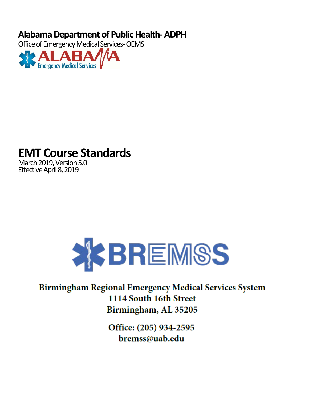# **Alabama Department of Public Health- ADPH**

Office of Emergency Medical Services- OEMS



# **EMT Course Standards**

March 2019, Version 5.0 Effective April 8, 2019



# **Birmingham Regional Emergency Medical Services System** 1114 South 16th Street Birmingham, AL 35205

Office: (205) 934-2595 bremss@uab.edu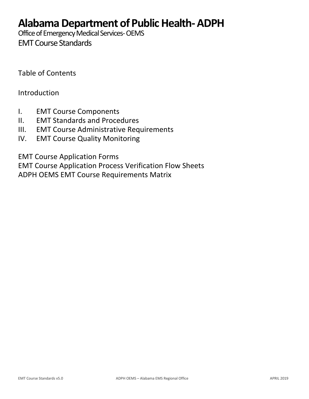# **Alabama Department of Public Health- ADPH**

Office of Emergency Medical Services- OEMS

EMTCourse Standards

Table of Contents

# Introduction

- I. EMT Course Components
- II. EMT Standards and Procedures
- III. EMT Course Administrative Requirements
- IV. EMT Course Quality Monitoring

EMT Course Application Forms

EMT Course Application Process Verification Flow Sheets ADPH OEMS EMT Course Requirements Matrix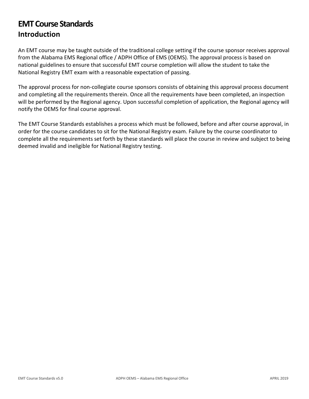# **EMT Course Standards Introduction**

An EMT course may be taught outside of the traditional college setting if the course sponsor receives approval from the Alabama EMS Regional office / ADPH Office of EMS (OEMS). The approval process is based on national guidelines to ensure that successful EMT course completion will allow the student to take the National Registry EMT exam with a reasonable expectation of passing.

The approval process for non-collegiate course sponsors consists of obtaining this approval process document and completing all the requirements therein. Once all the requirements have been completed, an inspection will be performed by the Regional agency. Upon successful completion of application, the Regional agency will notify the OEMS for final course approval.

The EMT Course Standards establishes a process which must be followed, before and after course approval, in order for the course candidates to sit for the National Registry exam. Failure by the course coordinator to complete all the requirements set forth by these standards will place the course in review and subject to being deemed invalid and ineligible for National Registry testing.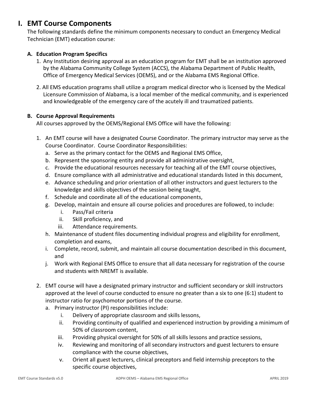# **I. EMT Course Components**

The following standards define the minimum components necessary to conduct an Emergency Medical Technician (EMT) education course:

# **A. Education Program Specifics**

- 1. Any Institution desiring approval as an education program for EMT shall be an institution approved by the Alabama Community College System (ACCS), the Alabama Department of Public Health, Office of Emergency Medical Services (OEMS), and or the Alabama EMS Regional Office.
- 2. All EMS education programs shall utilize a program medical director who is licensed by the Medical Licensure Commission of Alabama, is a local member of the medical community, and is experienced and knowledgeable of the emergency care of the acutely ill and traumatized patients.

#### **B. Course Approval Requirements**

All courses approved by the OEMS/Regional EMS Office will have the following:

- 1. An EMT course will have a designated Course Coordinator. The primary instructor may serve as the Course Coordinator. Course Coordinator Responsibilities:
	- a. Serve as the primary contact for the OEMS and Regional EMS Office,
	- b. Represent the sponsoring entity and provide all administrative oversight,
	- c. Provide the educational resources necessary for teaching all of the EMT course objectives,
	- d. Ensure compliance with all administrative and educational standards listed in this document,
	- e. Advance scheduling and prior orientation of all other instructors and guest lecturers to the knowledge and skills objectives of the session being taught,
	- f. Schedule and coordinate all of the educational components,
	- g. Develop, maintain and ensure all course policies and procedures are followed, to include:
		- i. Pass/Fail criteria
		- ii. Skill proficiency, and
		- iii. Attendance requirements.
	- h. Maintenance of student files documenting individual progress and eligibility for enrollment, completion and exams,
	- i. Complete, record, submit, and maintain all course documentation described in this document, and
	- j. Work with Regional EMS Office to ensure that all data necessary for registration of the course and students with NREMT is available.
- 2. EMT course will have a designated primary instructor and sufficient secondary or skill instructors approved at the level of course conducted to ensure no greater than a six to one (6:1) student to instructor ratio for psychomotor portions of the course.
	- a. Primary instructor (PI) responsibilities include:
		- i. Delivery of appropriate classroom and skills lessons,
		- ii. Providing continuity of qualified and experienced instruction by providing a minimum of 50% of classroom content,
		- iii. Providing physical oversight for 50% of all skills lessons and practice sessions,
		- iv. Reviewing and monitoring of all secondary instructors and guest lecturers to ensure compliance with the course objectives,
		- v. Orient all guest lecturers, clinical preceptors and field internship preceptors to the specific course objectives,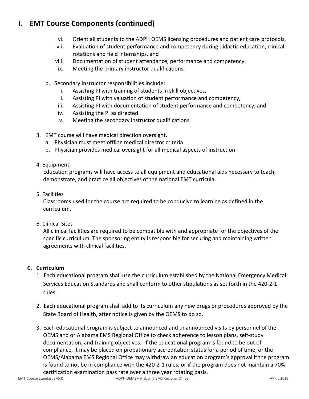# **I. EMT Course Components (continued)**

- vi. Orient all students to the ADPH OEMS licensing procedures and patient care protocols,
- vii. Evaluation of student performance and competency during didactic education, clinical rotations and field internships, and
- viii. Documentation of student attendance, performance and competency.
- ix. Meeting the primary instructor qualifications.
- b. Secondary Instructor responsibilities include:
	- i. Assisting PI with training of students in skill objectives,
	- ii. Assisting PI with valuation of student performance and competency,
	- iii. Assisting PI with documentation of student performance and competency, and
	- iv. Assisting the PI as directed.
	- v. Meeting the secondary instructor qualifications.
- 3. EMT course will have medical direction oversight.
	- a. Physician must meet offline medical director criteria
	- b. Physician provides medical oversight for all medical aspects of instruction
- 4. Equipment

Education programs will have access to all equipment and educational aids necessary to teach, demonstrate, and practice all objectives of the national EMT curricula.

5. Facilities

Classrooms used for the course are required to be conducive to learning as defined in the curriculum.

6. Clinical Sites

All clinical facilities are required to be compatible with and appropriate for the objectives of the specific curriculum. The sponsoring entity is responsible for securing and maintaining written agreements with clinical facilities.

### **C. Curriculum**

- 1. Each educational program shall use the curriculum established by the National Emergency Medical Services Education Standards and shall conform to other stipulations as set forth in the 420-2-1 rules.
- 2. Each educational program shall add to its curriculum any new drugs or procedures approved by the State Board of Health, after notice is given by the OEMS to do so.
- 3. Each educational program is subject to announced and unannounced visits by personnel of the OEMS and or Alabama EMS Regional Office to check adherence to lesson plans, self-study documentation, and training objectives. If the educational program is found to be out of compliance, it may be placed on probationary accreditation status for a period of time, or the OEMS/Alabama EMS Regional Office may withdraw an education program's approval if the program is found to not be in compliance with the 420-2-1 rules, or if the program does not maintain a 70% certification examination pass rate over a three year rotating basis.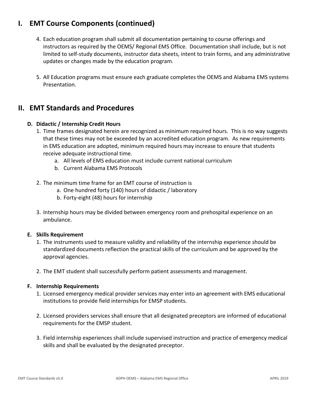# **I. EMT Course Components (continued)**

- 4. Each education program shall submit all documentation pertaining to course offerings and instructors as required by the OEMS/ Regional EMS Office. Documentation shall include, but is not limited to self-study documents, instructor data sheets, intent to train forms, and any administrative updates or changes made by the education program.
- 5. All Education programs must ensure each graduate completes the OEMS and Alabama EMS systems Presentation.

# **II. EMT Standards and Procedures**

# **D. Didactic / Internship Credit Hours**

- 1. Time frames designated herein are recognized as minimum required hours. This is no way suggests that these times may not be exceeded by an accredited education program. As new requirements in EMS education are adopted, minimum required hours may increase to ensure that students receive adequate instructional time.
	- a. All levels of EMS education must include current national curriculum
	- b. Current Alabama EMS Protocols
- 2. The minimum time frame for an EMT course of instruction is
	- a. One hundred forty (140) hours of didactic / laboratory
	- b. Forty-eight (48) hours for internship
- 3. Internship hours may be divided between emergency room and prehospital experience on an ambulance.

### **E. Skills Requirement**

- 1. The instruments used to measure validity and reliability of the internship experience should be standardized documents reflection the practical skills of the curriculum and be approved by the approval agencies.
- 2. The EMT student shall successfully perform patient assessments and management.

### **F. Internship Requirements**

- 1. Licensed emergency medical provider services may enter into an agreement with EMS educational institutions to provide field internships for EMSP students.
- 2. Licensed providers services shall ensure that all designated preceptors are informed of educational requirements for the EMSP student.
- 3. Field internship experiences shall include supervised instruction and practice of emergency medical skills and shall be evaluated by the designated preceptor.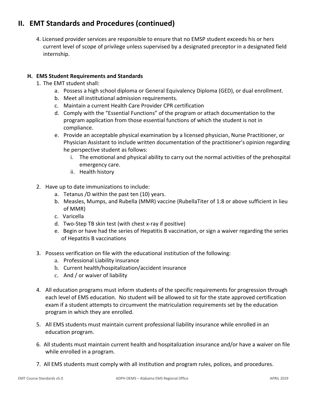# **II. EMT Standards and Procedures (continued)**

4. Licensed provider services are responsible to ensure that no EMSP student exceeds his or hers current level of scope of privilege unless supervised by a designated preceptor in a designated field internship.

# **H. EMS Student Requirements and Standards**

- 1. The EMT student shall:
	- a. Possess a high school diploma or General Equivalency Diploma (GED), or dual enrollment.
	- b. Meet all institutional admission requirements.
	- c. Maintain a current Health Care Provider CPR certification
	- d. Comply with the "Essential Functions" of the program or attach documentation to the program application from those essential functions of which the student is not in compliance.
	- e. Provide an acceptable physical examination by a licensed physician, Nurse Practitioner, or Physician Assistant to include written documentation of the practitioner's opinion regarding he perspective student as follows:
		- i. The emotional and physical ability to carry out the normal activities of the prehospital emergency care.
		- ii. Health history
- 2. Have up to date immunizations to include:
	- a. Tetanus /D within the past ten (10) years.
	- b. Measles, Mumps, and Rubella (MMR) vaccine (RubellaTiter of 1:8 or above sufficient in lieu of MMR)
	- c. Varicella
	- d. Two-Step TB skin test (with chest x-ray if positive)
	- e. Begin or have had the series of Hepatitis B vaccination, or sign a waiver regarding the series of Hepatitis B vaccinations
- 3. Possess verification on file with the educational institution of the following:
	- a. Professional Liability insurance
	- b. Current health/hospitalization/accident insurance
	- c. And / or waiver of liability
- 4. All education programs must inform students of the specific requirements for progression through each level of EMS education. No student will be allowed to sit for the state approved certification exam if a student attempts to circumvent the matriculation requirements set by the education program in which they are enrolled.
- 5. All EMS students must maintain current professional liability insurance while enrolled in an education program.
- 6. All students must maintain current health and hospitalization insurance and/or have a waiver on file while enrolled in a program.
- 7. All EMS students must comply with all institution and program rules, polices, and procedures.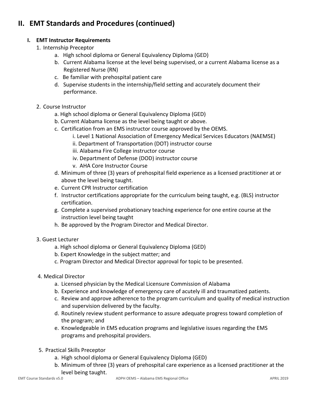# **II. EMT Standards and Procedures (continued)**

# **I. EMT Instructor Requirements**

- 1. Internship Preceptor
	- a. High school diploma or General Equivalency Diploma (GED)
	- b. Current Alabama license at the level being supervised, or a current Alabama license as a Registered Nurse (RN)
	- c. Be familiar with prehospital patient care
	- d. Supervise students in the internship/field setting and accurately document their performance.
- 2. Course Instructor
	- a. High school diploma or General Equivalency Diploma (GED)
	- b. Current Alabama license as the level being taught or above.
	- c. Certification from an EMS instructor course approved by the OEMS.
		- i. Level 1 National Association of Emergency Medical Services Educators (NAEMSE)
		- ii. Department of Transportation (DOT) instructor course
		- iii. Alabama Fire College instructor course
		- iv. Department of Defense (DOD) instructor course
		- v. AHA Core Instructor Course
	- d. Minimum of three (3) years of prehospital field experience as a licensed practitioner at or above the level being taught.
	- e. Current CPR Instructor certification
	- f. Instructor certifications appropriate for the curriculum being taught, e.g. (BLS) instructor certification.
	- g. Complete a supervised probationary teaching experience for one entire course at the instruction level being taught
	- h. Be approved by the Program Director and Medical Director.
- 3. Guest Lecturer
	- a. High school diploma or General Equivalency Diploma (GED)
	- b. Expert Knowledge in the subject matter; and
	- c. Program Director and Medical Director approval for topic to be presented.
- 4. Medical Director
	- a. Licensed physician by the Medical Licensure Commission of Alabama
	- b. Experience and knowledge of emergency care of acutely ill and traumatized patients.
	- c. Review and approve adherence to the program curriculum and quality of medical instruction and supervision delivered by the faculty.
	- d. Routinely review student performance to assure adequate progress toward completion of the program; and
	- e. Knowledgeable in EMS education programs and legislative issues regarding the EMS programs and prehospital providers.
- 5. Practical Skills Preceptor
	- a. High school diploma or General Equivalency Diploma (GED)
	- b. Minimum of three (3) years of prehospital care experience as a licensed practitioner at the level being taught.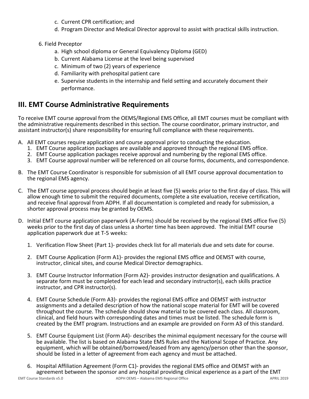- c. Current CPR certification; and
- d. Program Director and Medical Director approval to assist with practical skills instruction.
- 6. Field Preceptor
	- a. High school diploma or General Equivalency Diploma (GED)
	- b. Current Alabama License at the level being supervised
	- c. Minimum of two (2) years of experience
	- d. Familiarity with prehospital patient care
	- e. Supervise students in the internship and field setting and accurately document their performance.

# **III. EMT Course Administrative Requirements**

To receive EMT course approval from the OEMS/Regional EMS Office, all EMT courses must be compliant with the administrative requirements described in this section. The course coordinator, primary instructor, and assistant instructor(s) share responsibility for ensuring full compliance with these requirements.

- A. All EMT courses require application and course approval prior to conducting the education.
	- 1. EMT Course application packages are available and approved through the regional EMS office.
	- 2. EMT Course application packages receive approval and numbering by the regional EMS office.
	- 3. EMT Course approval number will be referenced on all course forms, documents, and correspondence.
- B. The EMT Course Coordinator is responsible for submission of all EMT course approval documentation to the regional EMS agency.
- C. The EMT course approval process should begin at least five (5) weeks prior to the first day of class. This will allow enough time to submit the required documents, complete a site evaluation, receive certification, and receive final approval from ADPH. If all documentation is completed and ready for submission, a shorter approval process may be granted by OEMS.
- D. Initial EMT course application paperwork (A-Forms) should be received by the regional EMS office five (5) weeks prior to the first day of class unless a shorter time has been approved. The initial EMT course application paperwork due at T-5 weeks:
	- 1. Verification Flow Sheet (Part 1)- provides check list for all materials due and sets date for course.
	- 2. EMT Course Application (Form A1)- provides the regional EMS office and OEMST with course, instructor, clinical sites, and course Medical Director demographics.
	- 3. EMT Course Instructor Information (Form A2)- provides instructor designation and qualifications. A separate form must be completed for each lead and secondary instructor(s), each skills practice instructor, and CPR instructor(s).
	- 4. EMT Course Schedule (Form A3)- provides the regional EMS office and OEMST with instructor assignments and a detailed description of how the national scope material for EMT will be covered throughout the course. The schedule should show material to be covered each class. All classroom, clinical, and field hours with corresponding dates and times must be listed. The schedule form is created by the EMT program. Instructions and an example are provided on Form A3 of this standard.
	- 5. EMT Course Equipment List (Form A4)- describes the minimal equipment necessary for the course will be available. The list is based on Alabama State EMS Rules and the National Scope of Practice. Any equipment, which will be obtained/borrowed/leased from any agency/person other than the sponsor, should be listed in a letter of agreement from each agency and must be attached.
- EMT Course Standards v5.0 **ADPH OEMS Alabama EMS Regional Office** APRIL 2019 **APRIL 2019** 6. Hospital Affiliation Agreement (Form C1)- provides the regional EMS office and OEMST with an agreement between the sponsor and any hospital providing clinical experience as a part of the EMT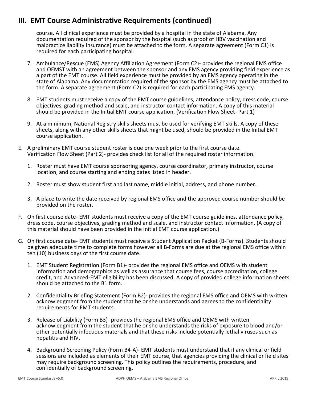# **III. EMT Course Administrative Requirements (continued)**

course. All clinical experience must be provided by a hospital in the state of Alabama. Any documentation required of the sponsor by the hospital (such as proof of HBV vaccination and malpractice liability insurance) must be attached to the form. A separate agreement (Form C1) is required for each participating hospital.

- 7. Ambulance/Rescue (EMS) Agency Affiliation Agreement (Form C2)- provides the regional EMS office and OEMST with an agreement between the sponsor and any EMS agency providing field experience as a part of the EMT course. All field experience must be provided by an EMS agency operating in the state of Alabama. Any documentation required of the sponsor by the EMS agency must be attached to the form. A separate agreement (Form C2) is required for each participating EMS agency.
- 8. EMT students must receive a copy of the EMT course guidelines, attendance policy, dress code, course objectives, grading method and scale, and instructor contact information. A copy of this material should be provided in the Initial EMT course application. (Verification Flow Sheet- Part 1)
- 9. At a minimum, National Registry skills sheets must be used for verifying EMT skills. A copy of these sheets, along with any other skills sheets that might be used, should be provided in the Initial EMT course application.
- E. A preliminary EMT course student roster is due one week prior to the first course date. Verification Flow Sheet (Part 2)- provides check list for all of the required roster information.
	- 1. Roster must have EMT course sponsoring agency, course coordinator, primary instructor, course location, and course starting and ending dates listed in header.
	- 2. Roster must show student first and last name, middle initial, address, and phone number.
	- 3. A place to write the date received by regional EMS office and the approved course number should be provided on the roster.
- F. On first course date- EMT students must receive a copy of the EMT course guidelines, attendance policy, dress code, course objectives, grading method and scale, and instructor contact information. (A copy of this material should have been provided in the Initial EMT course application.)
- G. On first course date- EMT students must receive a Student Application Packet (B-Forms). Students should be given adequate time to complete forms however all B-Forms are due at the regional EMS office within ten (10) business days of the first course date.
	- 1. EMT Student Registration (Form B1)- provides the regional EMS office and OEMS with student information and demographics as well as assurance that course fees, course accreditation, college credit, and Advanced-EMT eligibility has been discussed. A copy of provided college information sheets should be attached to the B1 form.
	- 2. Confidentiality Briefing Statement (Form B2)- provides the regional EMS office and OEMS with written acknowledgment from the student that he or she understands and agrees to the confidentiality requirements for EMT students.
	- 3. Release of Liability (Form B3)- provides the regional EMS office and OEMS with written acknowledgment from the student that he or she understands the risks of exposure to blood and/or other potentially infectious materials and that these risks include potentially lethal viruses such as hepatitis and HIV.
	- 4. Background Screening Policy (Form B4-A)- EMT students must understand that if any clinical or field sessions are included as elements of their EMT course, that agencies providing the clinical or field sites may require background screening. This policy outlines the requirements, procedure, and confidentially of background screening.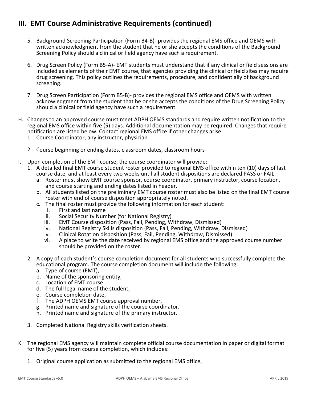# **III. EMT Course Administrative Requirements (continued)**

- 5. Background Screening Participation (Form B4-B)- provides the regional EMS office and OEMS with written acknowledgment from the student that he or she accepts the conditions of the Background Screening Policy should a clinical or field agency have such a requirement.
- 6. Drug Screen Policy (Form B5-A)- EMT students must understand that if any clinical or field sessions are included as elements of their EMT course, that agencies providing the clinical or field sites may require drug screening. This policy outlines the requirements, procedure, and confidentially of background screening.
- 7. Drug Screen Participation (Form B5-B)- provides the regional EMS office and OEMS with written acknowledgment from the student that he or she accepts the conditions of the Drug Screening Policy should a clinical or field agency have such a requirement.
- H. Changes to an approved course must meet ADPH OEMS standards and require written notification to the regional EMS office within five (5) days. Additional documentation may be required. Changes that require notification are listed below. Contact regional EMS office if other changes arise.
	- 1. Course Coordinator, any instructor, physician
	- 2. Course beginning or ending dates, classroom dates, classroom hours
- I. Upon completion of the EMT course, the course coordinator will provide:
	- 1. A detailed final EMT course student roster provided to regional EMS office within ten (10) days of last course date, and at least every two weeks until all student dispositions are declared PASS or FAIL:
		- a. Roster must show EMT course sponsor, course coordinator, primary instructor, course location, and course starting and ending dates listed in header.
		- b. All students listed on the preliminary EMT course roster must also be listed on the final EMT course roster with end of course disposition appropriately noted.
		- c. The final roster must provide the following information for each student:
			- i. First and last name<br>ii. Social Security Num
			- ii. Social Security Number (for National Registry)<br>iii. EMT Course disposition (Pass. Fail. Pending. W
			- EMT Course disposition (Pass, Fail, Pending, Withdraw, Dismissed)
			- iv. National Registry Skills disposition (Pass, Fail, Pending, Withdraw, Dismissed)
			- v. Clinical Rotation disposition (Pass, Fail, Pending, Withdraw, Dismissed)
			- A place to write the date received by regional EMS office and the approved course number should be provided on the roster.
	- 2. A copy of each student's course completion document for all students who successfully complete the educational program. The course completion document will include the following:
		- a. Type of course (EMT),
		- b. Name of the sponsoring entity,
		- c. Location of EMT course
		- d. The full legal name of the student,
		- e. Course completion date,
		- f. The ADPH OEMS EMT course approval number,
		- g. Printed name and signature of the course coordinator,
		- h. Printed name and signature of the primary instructor.
	- 3. Completed National Registry skills verification sheets.
- K. The regional EMS agency will maintain complete official course documentation in paper or digital format for five (5) years from course completion, which includes:
	- 1. Original course application as submitted to the regional EMS office,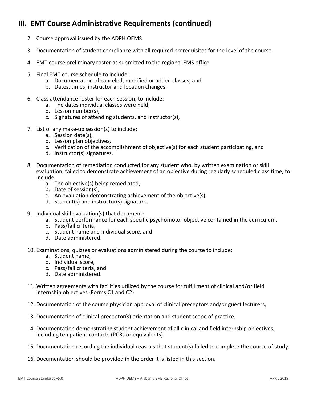# **III. EMT Course Administrative Requirements (continued)**

- 2. Course approval issued by the ADPH OEMS
- 3. Documentation of student compliance with all required prerequisites for the level of the course
- 4. EMT course preliminary roster as submitted to the regional EMS office,
- 5. Final EMT course schedule to include:
	- a. Documentation of canceled, modified or added classes, and
	- b. Dates, times, instructor and location changes.
- 6. Class attendance roster for each session, to include:
	- a. The dates individual classes were held,
	- b. Lesson number(s),
	- c. Signatures of attending students, and Instructor(s),
- 7. List of any make-up session(s) to include:
	- a. Session date(s),
	- b. Lesson plan objectives,
	- c. Verification of the accomplishment of objective(s) for each student participating, and
	- d. Instructor(s) signatures.
- 8. Documentation of remediation conducted for any student who, by written examination or skill evaluation, failed to demonstrate achievement of an objective during regularly scheduled class time, to include:
	- a. The objective(s) being remediated,
	- b. Date of session(s),
	- c. An evaluation demonstrating achievement of the objective(s),
	- d. Student(s) and instructor(s) signature.
- 9. Individual skill evaluation(s) that document:
	- a. Student performance for each specific psychomotor objective contained in the curriculum,
	- b. Pass/fail criteria,
	- c. Student name and Individual score, and
	- d. Date administered.
- 10. Examinations, quizzes or evaluations administered during the course to include:
	- a. Student name,
	- b. Individual score,
	- c. Pass/fail criteria, and
	- d. Date administered.
- 11. Written agreements with facilities utilized by the course for fulfillment of clinical and/or field internship objectives (Forms C1 and C2)
- 12. Documentation of the course physician approval of clinical preceptors and/or guest lecturers,
- 13. Documentation of clinical preceptor(s) orientation and student scope of practice,
- 14. Documentation demonstrating student achievement of all clinical and field internship objectives, including ten patient contacts (PCRs or equivalents)
- 15. Documentation recording the individual reasons that student(s) failed to complete the course of study.
- 16. Documentation should be provided in the order it is listed in this section.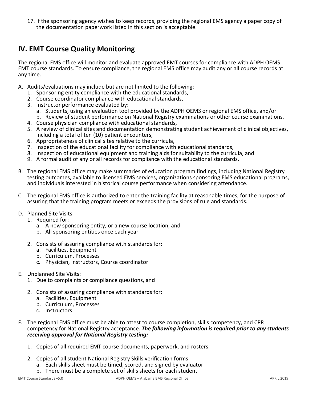17. If the sponsoring agency wishes to keep records, providing the regional EMS agency a paper copy of the documentation paperwork listed in this section is acceptable.

# **IV. EMT Course Quality Monitoring**

The regional EMS office will monitor and evaluate approved EMT courses for compliance with ADPH OEMS EMT course standards. To ensure compliance, the regional EMS office may audit any or all course records at any time.

- A. Audits/evaluations may include but are not limited to the following:
	- 1. Sponsoring entity compliance with the educational standards,
	- 2. Course coordinator compliance with educational standards,
	- 3. Instructor performance evaluated by:
		- a. Students, using an evaluation tool provided by the ADPH OEMS or regional EMS office, and/or b. Review of student performance on National Registry examinations or other course examinations.
	- 4. Course physician compliance with educational standards,
	- 5. A review of clinical sites and documentation demonstrating student achievement of clinical objectives, including a total of ten (10) patient encounters,
	- 6. Appropriateness of clinical sites relative to the curricula,
	- 7. Inspection of the educational facility for compliance with educational standards,
	- 8. Inspection of educational equipment and training aids for suitability to the curricula, and
	- 9. A formal audit of any or all records for compliance with the educational standards.
- B. The regional EMS office may make summaries of education program findings, including National Registry testing outcomes, available to licensed EMS services, organizations sponsoring EMS educational programs, and individuals interested in historical course performance when considering attendance.
- C. The regional EMS office is authorized to enter the training facility at reasonable times, for the purpose of assuring that the training program meets or exceeds the provisions of rule and standards.
- D. Planned Site Visits:
	- 1. Required for:
		- a. A new sponsoring entity, or a new course location, and
		- b. All sponsoring entities once each year
	- 2. Consists of assuring compliance with standards for:
		- a. Facilities, Equipment
		- b. Curriculum, Processes
		- c. Physician, Instructors, Course coordinator
- E. Unplanned Site Visits:
	- 1. Due to complaints or compliance questions, and
	- 2. Consists of assuring compliance with standards for:
		- a. Facilities, Equipment
		- b. Curriculum, Processes
		- c. Instructors
- F. The regional EMS office must be able to attest to course completion, skills competency, and CPR competency for National Registry acceptance. *The following information is required prior to any students receiving approval for National Registry testing:*
	- 1. Copies of all required EMT course documents, paperwork, and rosters.
	- 2. Copies of all student National Registry Skills verification forms
		- a. Each skills sheet must be timed, scored, and signed by evaluator
			- b. There must be a complete set of skills sheets for each student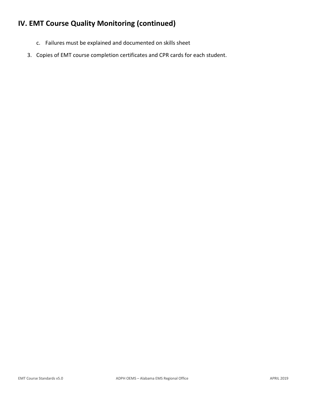# **IV. EMT Course Quality Monitoring (continued)**

- c. Failures must be explained and documented on skills sheet
- 3. Copies of EMT course completion certificates and CPR cards for each student.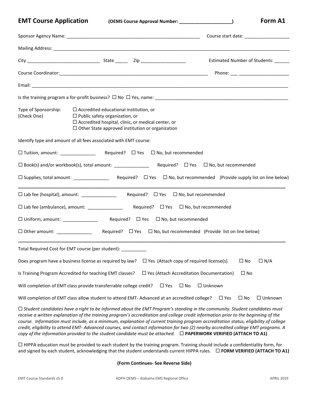**EMT Course Application (OEMS Course Approval Number: \_\_\_\_\_\_\_\_\_\_\_\_\_\_\_\_\_\_\_\_\_) Form A1**

|                                     |                                                                                                                                                                                                                                                                                                                                                                                                                                                                                                                                                                                                                                                                             |                                                 |                | Estimated Number of Students: ______ |
|-------------------------------------|-----------------------------------------------------------------------------------------------------------------------------------------------------------------------------------------------------------------------------------------------------------------------------------------------------------------------------------------------------------------------------------------------------------------------------------------------------------------------------------------------------------------------------------------------------------------------------------------------------------------------------------------------------------------------------|-------------------------------------------------|----------------|--------------------------------------|
|                                     |                                                                                                                                                                                                                                                                                                                                                                                                                                                                                                                                                                                                                                                                             |                                                 |                |                                      |
|                                     |                                                                                                                                                                                                                                                                                                                                                                                                                                                                                                                                                                                                                                                                             |                                                 |                |                                      |
|                                     |                                                                                                                                                                                                                                                                                                                                                                                                                                                                                                                                                                                                                                                                             |                                                 |                |                                      |
| Type of Sponsorship:<br>(Check One) | $\Box$ Accredited educational institution, or<br>$\Box$ Public safety organization, or<br>$\Box$ Accredited hospital, clinic, or medical center, or<br>$\Box$ Other State approved institution or organization                                                                                                                                                                                                                                                                                                                                                                                                                                                              |                                                 |                |                                      |
|                                     | Identify type and amount of all fees associated with EMT course:                                                                                                                                                                                                                                                                                                                                                                                                                                                                                                                                                                                                            |                                                 |                |                                      |
|                                     |                                                                                                                                                                                                                                                                                                                                                                                                                                                                                                                                                                                                                                                                             |                                                 |                |                                      |
|                                     |                                                                                                                                                                                                                                                                                                                                                                                                                                                                                                                                                                                                                                                                             |                                                 |                |                                      |
|                                     |                                                                                                                                                                                                                                                                                                                                                                                                                                                                                                                                                                                                                                                                             |                                                 |                |                                      |
|                                     | □ Lab fee (hospital), amount: _______________                                                                                                                                                                                                                                                                                                                                                                                                                                                                                                                                                                                                                               | Required? $\Box$ Yes $\Box$ No, but recommended |                |                                      |
|                                     |                                                                                                                                                                                                                                                                                                                                                                                                                                                                                                                                                                                                                                                                             |                                                 |                |                                      |
|                                     | □ Uniform, amount: _________________  Required? □ Yes □ No, but recommended                                                                                                                                                                                                                                                                                                                                                                                                                                                                                                                                                                                                 |                                                 |                |                                      |
|                                     |                                                                                                                                                                                                                                                                                                                                                                                                                                                                                                                                                                                                                                                                             |                                                 |                |                                      |
|                                     | Total Required Cost for EMT course (per student): ___________                                                                                                                                                                                                                                                                                                                                                                                                                                                                                                                                                                                                               |                                                 |                |                                      |
|                                     | Does program have a business license as required by law?                                                                                                                                                                                                                                                                                                                                                                                                                                                                                                                                                                                                                    | $\Box$ Yes (Attach copy of required license(s)  |                | $\Box N/A$<br>$\square$ No           |
|                                     | Is Training Program Accredited for teaching EMT classes?                                                                                                                                                                                                                                                                                                                                                                                                                                                                                                                                                                                                                    | $\Box$ Yes (Attach Accreditation Documentation) |                | $\square$ No                         |
|                                     | Will completion of EMT class provide transferrable college credit?                                                                                                                                                                                                                                                                                                                                                                                                                                                                                                                                                                                                          | $\Box$ Yes<br>$\Box$ No                         | $\Box$ Unknown |                                      |
|                                     | Will completion of EMT class allow student to attend EMT- Advanced at an accredited college?                                                                                                                                                                                                                                                                                                                                                                                                                                                                                                                                                                                |                                                 | $\Box$ Yes     | $\square$ No<br>$\Box$ Unknown       |
|                                     | $\Box$ Student candidates have a right to be informed about the EMT Program's standing in the community. Student candidates must<br>receive a written explanation of the training program's accreditation and college credit information prior to the beginning of the<br>course. Information must include, as a minimum, explanation of current training program accreditation status, eligibility of college<br>credit, eligibility to attend EMT-Advanced courses, and contact information for two (2) nearby accredited college EMT programs. A<br>copy of the information provided to the student candidate must be attached. $\Box$ PAPERWORK VERIFIED (ATTACH TO A1) |                                                 |                |                                      |

 HIPPA education must be provided to each student by the training program. Training should include a confidentiality form, for and signed by each student, acknowledging that the student understands current HIPPA rules. **FORM VERIFIED (ATTACH TO A1)**

**(Form Continues- See Reverse Side)**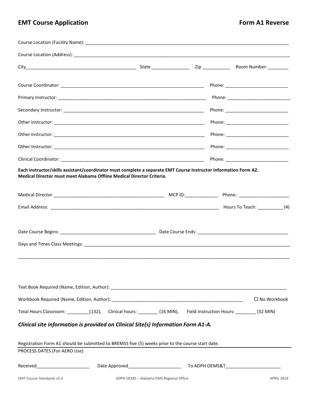# **EMT Course Application Form A1 Reverse**

| Each instructor/skills assistant/coordinator must complete a separate EMT Course Instructor Information Form A2.<br>Medical Director must meet Alabama Offline Medical Director Criteria. |                                         |                    |
|-------------------------------------------------------------------------------------------------------------------------------------------------------------------------------------------|-----------------------------------------|--------------------|
|                                                                                                                                                                                           |                                         |                    |
|                                                                                                                                                                                           |                                         |                    |
|                                                                                                                                                                                           |                                         |                    |
|                                                                                                                                                                                           |                                         |                    |
|                                                                                                                                                                                           |                                         |                    |
|                                                                                                                                                                                           |                                         |                    |
|                                                                                                                                                                                           |                                         |                    |
|                                                                                                                                                                                           |                                         | $\Box$ No Workbook |
| Total Hours Classroom: ________(132), Clinical hours: _______(16 MIN), Field Instruction Hours: _______(32 MIN)                                                                           |                                         |                    |
| Clinical site information is provided on Clinical Site(s) Information Form A1-A.                                                                                                          |                                         |                    |
|                                                                                                                                                                                           |                                         |                    |
| Registration Form A1 should be submitted to BREMSS five (5) weeks prior to the course start date.                                                                                         |                                         |                    |
| PROCESS DATES (For AERO Use)                                                                                                                                                              |                                         |                    |
|                                                                                                                                                                                           |                                         |                    |
| <b>EMT Course Standards v5.0</b>                                                                                                                                                          | ADPH OEMS - Alabama EMS Regional Office | <b>APRIL 2019</b>  |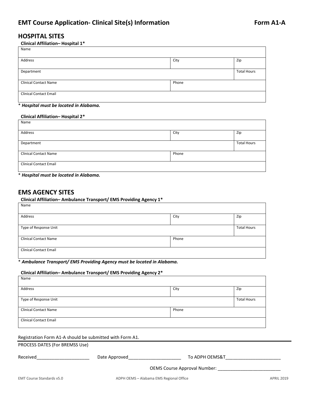# **HOSPITAL SITES**

#### **Clinical Affiliation– Hospital 1\***

| Name                          |       |                    |
|-------------------------------|-------|--------------------|
| Address                       | City  | Zip                |
| Department                    |       | <b>Total Hours</b> |
| <b>Clinical Contact Name</b>  | Phone |                    |
| <b>Clinical Contact Email</b> |       |                    |

#### \* *Hospital must be located in Alabama.*

#### **Clinical Affiliation– Hospital 2\***

| Name                          |       |                    |
|-------------------------------|-------|--------------------|
| Address                       | City  | Zip                |
| Department                    |       | <b>Total Hours</b> |
| <b>Clinical Contact Name</b>  | Phone |                    |
| <b>Clinical Contact Email</b> |       |                    |

\* *Hospital must be located in Alabama.*

# **EMS AGENCY SITES**

#### **Clinical Affiliation– Ambulance Transport/ EMS Providing Agency 1\***

| Name                          |       |                    |
|-------------------------------|-------|--------------------|
| Address                       | City  | Zip                |
| Type of Response Unit         |       | <b>Total Hours</b> |
| <b>Clinical Contact Name</b>  | Phone |                    |
| <b>Clinical Contact Email</b> |       |                    |

#### \* *Ambulance Transport/ EMS Providing Agency must be located in Alabama.*

#### **Clinical Affiliation– Ambulance Transport/ EMS Providing Agency 2\*** Name

| <b>N</b> dille                |       |                    |
|-------------------------------|-------|--------------------|
| Address                       | City  | Zip                |
| Type of Response Unit         |       | <b>Total Hours</b> |
| <b>Clinical Contact Name</b>  | Phone |                    |
| <b>Clinical Contact Email</b> |       |                    |

#### Registration Form A1-A should be submitted with Form A1.

PROCESS DATES (For BREMSS Use)

| Received | Date Approved                       | To ADPH OEMS&T |
|----------|-------------------------------------|----------------|
|          | <b>OEMS Course Approval Number:</b> |                |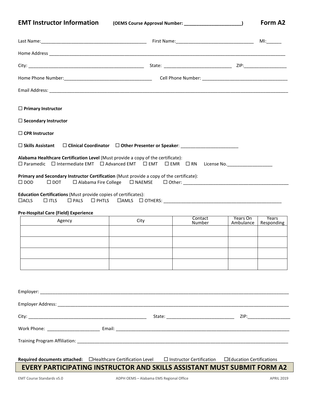**EMT Instructor Information (OEMS Course Approval Number: \_\_\_\_\_\_\_\_\_\_\_\_\_\_\_\_\_\_\_\_\_\_\_) Form A2**

Last Name:\_\_\_\_\_\_\_\_\_\_\_\_\_\_\_\_\_\_\_\_\_\_\_\_\_\_\_\_\_\_\_\_\_\_\_\_\_\_\_\_\_\_ First Name:\_\_\_\_\_\_\_\_\_\_\_\_\_\_\_\_\_\_\_\_\_\_\_\_\_\_\_\_\_\_\_ MI:\_\_\_\_\_\_ Home Address \_\_\_\_\_\_\_\_\_\_\_\_\_\_\_\_\_\_\_\_\_\_\_\_\_\_\_\_\_\_\_\_\_\_\_\_\_\_\_\_\_\_\_\_\_\_\_\_\_\_\_\_\_\_\_\_\_\_\_\_\_\_\_\_\_\_\_\_\_\_\_\_\_\_\_\_\_\_\_\_\_\_\_\_\_\_\_\_\_\_\_\_\_\_ City: \_\_\_\_\_\_\_\_\_\_\_\_\_\_\_\_\_\_\_\_\_\_\_\_\_\_\_\_\_\_\_\_\_\_\_\_\_\_\_\_\_\_\_\_\_\_ State: \_\_\_\_\_\_\_\_\_\_\_\_\_\_\_\_\_\_\_\_\_\_\_\_\_\_\_ ZIP:\_\_\_\_\_\_\_\_\_\_\_\_\_\_\_\_\_ Home Phone Number: etc. and the set of the set of the Sell Phone Number:  $\text{Cell}$  Phone Number:  $\text{Cell}$  Phone Number: Email Address: \_\_\_\_\_\_\_\_\_\_\_\_\_\_\_\_\_\_\_\_\_\_\_\_\_\_\_\_\_\_\_\_\_\_\_\_\_\_\_\_\_\_\_\_\_\_\_\_\_\_\_\_\_\_\_\_\_\_\_\_\_\_\_\_\_\_\_\_\_\_\_\_\_\_\_\_\_\_\_\_\_\_\_\_\_\_\_\_\_\_\_\_\_\_\_ **Primary Instructor Secondary Instructor CPR Instructor Skills Assistant Clinical Coordinator Other Presenter or Speaker**: \_\_\_\_\_\_\_\_\_\_\_\_\_\_\_\_\_\_\_\_\_\_\_ **Alabama Healthcare Certification Level** (Must provide a copy of the certificate):  $\square$  Paramedic  $\square$  Intermediate EMT  $\square$  Advanced EMT  $\square$  EMT  $\square$  EMR  $\square$  RN License No. **Primary and Secondary Instructor Certification** (Must provide a copy of the certificate): DOD DOT Alabama Fire College NAEMSE Other: \_\_\_\_\_\_\_\_\_\_\_\_\_\_\_\_\_\_\_\_\_\_\_\_\_\_\_\_\_\_\_\_\_\_\_\_\_\_\_\_\_\_ **Education Certifications** (Must provide copies of certificates):  $\Box$ acls  $\Box$  itls  $\Box$  pals  $\Box$  phtls  $\Box$  amls  $\Box$  others: **Pre-Hospital Care (Field) Experience** Agency City Contact City Contact Contact City Number Years On Ambulance Years Responding Employer: Employer Address: \_\_\_\_\_\_\_\_\_\_\_\_\_\_\_\_\_\_\_\_\_\_\_\_\_\_\_\_\_\_\_\_\_\_\_\_\_\_\_\_\_\_\_\_\_\_\_\_\_\_\_\_\_\_\_\_\_\_\_\_\_\_\_\_\_\_\_\_\_\_\_\_\_\_\_\_\_\_\_\_\_\_\_\_\_\_\_\_\_\_\_\_ City: \_\_\_\_\_\_\_\_\_\_\_\_\_\_\_\_\_\_\_\_\_\_\_\_\_\_\_\_\_\_\_\_\_\_\_\_\_\_\_\_\_\_\_\_\_\_\_ State: \_\_\_\_\_\_\_\_\_\_\_\_\_\_\_\_\_\_\_\_\_\_\_\_\_\_\_ ZIP:\_\_\_\_\_\_\_\_\_\_\_\_\_\_\_\_\_ Work Phone: \_\_\_\_\_\_\_\_\_\_\_\_\_\_\_\_\_\_\_\_\_ Email: \_\_\_\_\_\_\_\_\_\_\_\_\_\_\_\_\_\_\_\_\_\_\_\_\_\_\_\_\_\_\_\_\_\_\_\_\_\_\_\_\_\_\_\_\_\_\_\_\_\_\_\_\_\_\_\_\_\_\_\_\_\_\_\_\_\_\_\_\_ Training Program Affiliation: \_\_\_\_\_\_\_\_\_\_\_\_\_\_\_\_\_\_\_\_\_\_\_\_\_\_\_\_\_\_\_\_\_\_\_\_\_\_\_\_\_\_\_\_\_\_\_\_\_\_\_\_\_\_\_\_\_\_\_\_\_\_\_\_\_\_\_\_\_\_\_\_\_\_\_\_\_\_\_\_\_\_\_\_ **Required documents attached:** Healthcare Certification Level Instructor Certification Education Certifications

**EVERY PARTICIPATING INSTRUCTOR AND SKILLS ASSISTANT MUST SUBMIT FORM A2**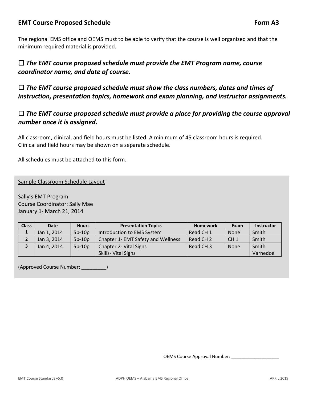# **EMT** Course Proposed Schedule **Form A3 Form A3**

The regional EMS office and OEMS must to be able to verify that the course is well organized and that the minimum required material is provided.

# *The EMT course proposed schedule must provide the EMT Program name, course coordinator name, and date of course.*

 *The EMT course proposed schedule must show the class numbers, dates and times of instruction, presentation topics, homework and exam planning, and instructor assignments.*

# *The EMT course proposed schedule must provide a place for providing the course approval number once it is assigned.*

All classroom, clinical, and field hours must be listed. A minimum of 45 classroom hours is required. Clinical and field hours may be shown on a separate schedule.

All schedules must be attached to this form.

Sample Classroom Schedule Layout

Sally's EMT Program Course Coordinator: Sally Mae January 1- March 21, 2014

| <b>Class</b> | <b>Date</b> | <b>Hours</b> | <b>Presentation Topics</b>         | <b>Homework</b>      | Exam            | <b>Instructor</b> |
|--------------|-------------|--------------|------------------------------------|----------------------|-----------------|-------------------|
| ᅩ            | Jan 1, 2014 | $5p-10p$     | Introduction to EMS System         | Read CH <sub>1</sub> | <b>None</b>     | Smith             |
|              | Jan 3, 2014 | $5p-10p$     | Chapter 1- EMT Safety and Wellness | Read CH <sub>2</sub> | CH <sub>1</sub> | Smith             |
|              | Jan 4, 2014 | $5p-10p$     | <b>Chapter 2- Vital Signs</b>      | Read CH <sub>3</sub> | <b>None</b>     | Smith             |
|              |             |              | Skills-Vital Signs                 |                      |                 | Varnedoe          |

(Approved Course Number: \_\_\_\_\_\_\_\_\_)

OEMS Course Approval Number: \_\_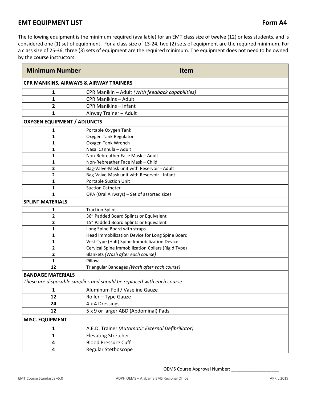The following equipment is the minimum required (available) for an EMT class size of twelve (12) or less students, and is considered one (1) set of equipment. For a class size of 13-24, two (2) sets of equipment are the required minimum. For a class size of 25-36, three (3) sets of equipment are the required minimum. The equipment does not need to be owned by the course instructors.

| <b>Minimum Number</b>                   | <b>Item</b>                                                           |
|-----------------------------------------|-----------------------------------------------------------------------|
| CPR MANIKINS, AIRWAYS & AIRWAY TRAINERS |                                                                       |
| 1                                       | CPR Manikin - Adult (With feedback capabilities)                      |
| 1                                       | <b>CPR Manikins - Adult</b>                                           |
| 2                                       | <b>CPR Manikins - Infant</b>                                          |
| 1                                       | Airway Trainer - Adult                                                |
| <b>OXYGEN EQUIPMENT / ADJUNCTS</b>      |                                                                       |
| 1                                       | Portable Oxygen Tank                                                  |
| 1                                       | Oxygen Tank Regulator                                                 |
| 1                                       | Oxygen Tank Wrench                                                    |
| 1                                       | Nasal Cannula - Adult                                                 |
| 1                                       | Non-Rebreather Face Mask - Adult                                      |
| 1                                       | Non-Rebreather Face Mask - Child                                      |
| 2                                       | Bag-Valve-Mask unit with Reservoir - Adult                            |
| 2                                       | Bag-Valve-Mask unit with Reservoir - Infant                           |
| 1                                       | <b>Portable Suction Unit</b>                                          |
| 1                                       | <b>Suction Catheter</b>                                               |
| $\mathbf{1}$                            | OPA (Oral Airways) - Set of assorted sizes                            |
| <b>SPLINT MATERIALS</b>                 |                                                                       |
| 1                                       | <b>Traction Splint</b>                                                |
| 2                                       | 36" Padded Board Splints or Equivalent                                |
| 2                                       | 15" Padded Board Splints or Equivalent                                |
| 1                                       | Long Spine Board with straps                                          |
| 1                                       | Head Immobilization Device for Long Spine Board                       |
| 1                                       | Vest-Type (Half) Spine Immobilization Device                          |
| 2                                       | Cervical Spine Immobilization Collars (Rigid Type)                    |
| 2                                       | Blankets (Wash after each course)                                     |
| 1                                       | Pillow                                                                |
| 12                                      | Triangular Bandages (Wash after each course)                          |
| <b>BANDAGE MATERIALS</b>                | These are disposable supplies and should be replaced with each course |
| $\mathbf{1}$                            | Aluminum Foil / Vaseline Gauze                                        |
| 12                                      | Roller - Type Gauze                                                   |
| 24                                      | 4 x 4 Dressings                                                       |
| 12                                      | 5 x 9 or larger ABD (Abdominal) Pads                                  |
| <b>MISC. EQUIPMENT</b>                  |                                                                       |
| 1                                       | A.E.D. Trainer (Automatic External Defibrillator)                     |
|                                         |                                                                       |
| 1                                       | <b>Elevating Stretcher</b>                                            |
| 4                                       | <b>Blood Pressure Cuff</b>                                            |
| 4                                       | Regular Stethoscope                                                   |

OEMS Course Approval Number: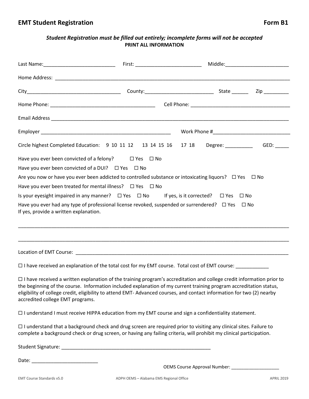# *Student Registration must be filled out entirely; incomplete forms will not be accepted* **PRINT ALL INFORMATION**

| Circle highest Completed Education: 9 10 11 12 13 14 15 16 17 18 Degree: ___________ GED: _____                                                                                                                                                  |  |  |
|--------------------------------------------------------------------------------------------------------------------------------------------------------------------------------------------------------------------------------------------------|--|--|
| Have you ever been convicted of a felony? $\square$ Yes $\square$ No                                                                                                                                                                             |  |  |
| Have you ever been convicted of a DUI? $\Box$ Yes $\Box$ No                                                                                                                                                                                      |  |  |
| Are you now or have you ever been addicted to controlled substance or intoxicating liquors? $\Box$ Yes $\Box$ No                                                                                                                                 |  |  |
| Have you ever been treated for mental illness? $\Box$ Yes $\Box$ No                                                                                                                                                                              |  |  |
| Is your eyesight impaired in any manner? $\square$ Yes $\square$ No If yes, is it corrected? $\square$ Yes $\square$ No                                                                                                                          |  |  |
| Have you ever had any type of professional license revoked, suspended or surrendered? $\Box$ Yes $\Box$ No<br>If yes, provide a written explanation.                                                                                             |  |  |
|                                                                                                                                                                                                                                                  |  |  |
| □ I have received an explanation of the total cost for my EMT course. Total cost of EMT course: ______________                                                                                                                                   |  |  |
| $\Box$ I have received a written explanation of the training program's accreditation and college credit information prior to<br>the heginning of the course Information included explanation of my current training program accreditation status |  |  |

reginning of the course. Information included explanation of my current training program accreditation status, eligibility of college credit, eligibility to attend EMT- Advanced courses, and contact information for two (2) nearby accredited college EMT programs.

I understand I must receive HIPPA education from my EMT course and sign a confidentiality statement.

 $\Box$  I understand that a background check and drug screen are required prior to visiting any clinical sites. Failure to complete a background check or drug screen, or having any failing criteria, will prohibit my clinical participation.

Student Signature: \_\_\_\_\_\_\_\_\_\_\_\_\_\_\_\_\_\_\_\_\_\_\_\_\_\_\_\_\_\_\_\_\_\_\_\_\_\_\_\_\_\_\_\_\_\_\_\_\_\_\_\_\_\_

Date: \_\_\_\_\_\_\_\_\_\_\_\_\_\_\_\_\_\_\_\_\_\_\_\_

OEMS Course Approval Number: \_\_\_\_\_\_\_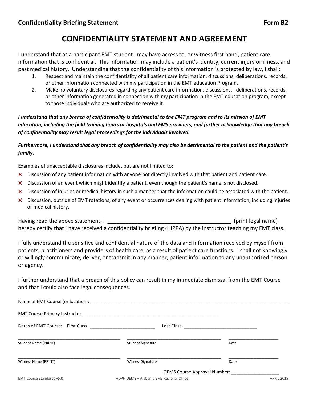# **CONFIDENTIALITY STATEMENT AND AGREEMENT**

I understand that as a participant EMT student I may have access to, or witness first hand, patient care information that is confidential. This information may include a patient's identity, current injury or illness, and past medical history. Understanding that the confidentiality of this information is protected by law, I shall:

- 1. Respect and maintain the confidentiality of all patient care information, discussions, deliberations, records, or other information connected with my participation in the EMT education Program.
- 2. Make no voluntary disclosures regarding any patient care information, discussions, deliberations, records, or other information generated in connection with my participation in the EMT education program, except to those individuals who are authorized to receive it.

*I understand that any breach of confidentiality is detrimental to the EMT program and to its mission of EMT education, including the field training hours at hospitals and EMS providers, and further acknowledge that any breach of confidentiality may result legal proceedings for the individuals involved.*

*Furthermore, I understand that any breach of confidentiality may also be detrimental to the patient and the patient's family.*

Examples of unacceptable disclosures include, but are not limited to:

- × Discussion of any patient information with anyone not directly involved with that patient and patient care.
- × Discussion of an event which might identify a patient, even though the patient's name is not disclosed.
- × Discussion of injuries or medical history in such a manner that the information could be associated with the patient.
- × Discussion, outside of EMT rotations, of any event or occurrences dealing with patient information, including injuries or medical history.

Having read the above statement, I contribute the statement of the statement of the statement of the statement hereby certify that I have received a confidentiality briefing (HIPPA) by the instructor teaching my EMT class.

I fully understand the sensitive and confidential nature of the data and information received by myself from patients, practitioners and providers of health care, as a result of patient care functions. I shall not knowingly or willingly communicate, deliver, or transmit in any manner, patient information to any unauthorized person or agency.

I further understand that a breach of this policy can result in my immediate dismissal from the EMT Course and that I could also face legal consequences.

| <b>Student Signature</b>                | Date                                                               |
|-----------------------------------------|--------------------------------------------------------------------|
| <b>Witness Signature</b>                | Date                                                               |
| ADPH OEMS - Alabama EMS Regional Office | OEMS Course Approval Number: ________________<br><b>APRIL 2019</b> |
|                                         |                                                                    |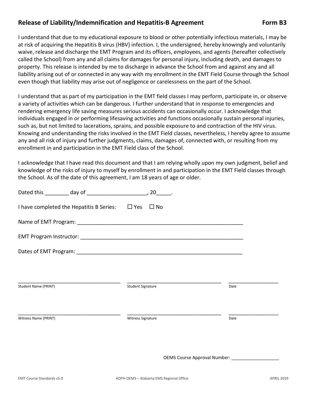# Release of Liability/Indemnification and Hepatitis-B Agreement Form B3

I understand that due to my educational exposure to blood or other potentially infectious materials, I may be at risk of acquiring the Hepatitis B virus (HBV) infection. I, the undersigned, hereby knowingly and voluntarily waive, release and discharge the EMT Program and its officers, employees, and agents (hereafter collectively called the School) from any and all claims for damages for personal injury, including death, and damages to property. This release is intended by me to discharge in advance the School from and against any and all liability arising out of or connected in any way with my enrollment in the EMT Field Course through the School even though that liability may arise out of negligence or carelessness on the part of the School.

I understand that as part of my participation in the EMT field classes I may perform, participate in, or observe a variety of activities which can be dangerous. I further understand that in response to emergencies and rendering emergency life saving measures serious accidents can occasionally occur. I acknowledge that individuals engaged in or performing lifesaving activities and functions occasionally sustain personal injuries, such as, but not limited to lacerations, sprains, and possible exposure to and contraction of the HIV virus. Knowing and understanding the risks involved in the EMT Field classes, nevertheless, I hereby agree to assume any and all risk of injury and further judgments, claims, damages of, connected with, or resulting from my enrollment in and participation in the EMT Field class of the School.

I acknowledge that I have read this document and that I am relying wholly upon my own judgment, belief and knowledge of the risks of injury to myself by enrollment in and participation in the EMT Field classes through the School. As of the date of this agreement, I am 18 years of age or older.

| I have completed the Hepatitis B Series: $\Box$ Yes $\Box$ No |                              |      |
|---------------------------------------------------------------|------------------------------|------|
|                                                               |                              |      |
|                                                               |                              |      |
|                                                               |                              |      |
|                                                               |                              |      |
|                                                               |                              |      |
| <b>Student Name (PRINT)</b>                                   | <b>Student Signature</b>     | Date |
|                                                               |                              |      |
| Witness Name (PRINT)                                          | <b>Witness Signature</b>     | Date |
|                                                               |                              |      |
|                                                               |                              |      |
|                                                               | OEMS Course Approval Number: |      |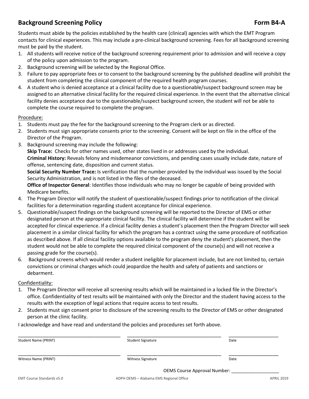# **Background Screening Policy Form B4-A**

Students must abide by the policies established by the health care (clinical) agencies with which the EMT Program contacts for clinical experiences. This may include a pre-clinical background screening. Fees for all background screening must be paid by the student.

- 1. All students will receive notice of the background screening requirement prior to admission and will receive a copy of the policy upon admission to the program.
- 2. Background screening will be selected by the Regional Office.
- 3. Failure to pay appropriate fees or to consent to the background screening by the published deadline will prohibit the student from completing the clinical component of the required health program courses.
- 4. A student who is denied acceptance at a clinical facility due to a questionable/suspect background screen may be assigned to an alternative clinical facility for the required clinical experience. In the event that the alternative clinical facility denies acceptance due to the questionable/suspect background screen, the student will not be able to complete the course required to complete the program.

#### Procedure:

- 1. Students must pay the fee for the background screening to the Program clerk or as directed.
- 2. Students must sign appropriate consents prior to the screening. Consent will be kept on file in the office of the Director of the Program.
- 3. Background screening may include the following:

**Skip Trace:** Checks for other names used, other states lived in or addresses used by the individual. **Criminal History:** Reveals felony and misdemeanor convictions, and pending cases usually include date, nature of offense, sentencing date, disposition and current status.

**Social Security Number Trace:** Is verification that the number provided by the individual was issued by the Social Security Administration, and is not listed in the files of the deceased.

**Office of Inspector General**: Identifies those individuals who may no longer be capable of being provided with Medicare benefits.

- 4. The Program Director will notify the student of questionable/suspect findings prior to notification of the clinical facilities for a determination regarding student acceptance for clinical experience.
- 5. Questionable/suspect findings on the background screening will be reported to the Director of EMS or other designated person at the appropriate clinical facility. The clinical facility will determine if the student will be accepted for clinical experience. If a clinical facility denies a student's placement then the Program Director will seek placement in a similar clinical facility for which the program has a contract using the same procedure of notification as described above. If all clinical facility options available to the program deny the student's placement, then the student would not be able to complete the required clinical component of the course(s) and will not receive a passing grade for the course(s).
- 6. Background screens which would render a student ineligible for placement include, but are not limited to, certain convictions or criminal charges which could jeopardize the health and safety of patients and sanctions or debarment.

#### Confidentiality:

- 1. The Program Director will receive all screening results which will be maintained in a locked file in the Director's office. Confidentiality of test results will be maintained with only the Director and the student having access to the results with the exception of legal actions that require access to test results.
- 2. Students must sign consent prior to disclosure of the screening results to the Director of EMS or other designated person at the clinic facility.

I acknowledge and have read and understand the policies and procedures set forth above.

| Student Name (PRINT) | <b>Student Signature</b> | Date                         |
|----------------------|--------------------------|------------------------------|
| Witness Name (PRINT) | <b>Witness Signature</b> | Date                         |
|                      |                          | OEMS Course Approval Number: |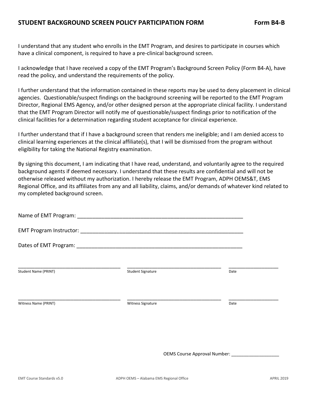I understand that any student who enrolls in the EMT Program, and desires to participate in courses which have a clinical component, is required to have a pre-clinical background screen.

I acknowledge that I have received a copy of the EMT Program's Background Screen Policy (Form B4-A), have read the policy, and understand the requirements of the policy.

I further understand that the information contained in these reports may be used to deny placement in clinical agencies. Questionable/suspect findings on the background screening will be reported to the EMT Program Director, Regional EMS Agency, and/or other designed person at the appropriate clinical facility. I understand that the EMT Program Director will notify me of questionable/suspect findings prior to notification of the clinical facilities for a determination regarding student acceptance for clinical experience.

I further understand that if I have a background screen that renders me ineligible; and I am denied access to clinical learning experiences at the clinical affiliate(s), that I will be dismissed from the program without eligibility for taking the National Registry examination.

By signing this document, I am indicating that I have read, understand, and voluntarily agree to the required background agents if deemed necessary. I understand that these results are confidential and will not be otherwise released without my authorization. I hereby release the EMT Program, ADPH OEMS&T, EMS Regional Office, and its affiliates from any and all liability, claims, and/or demands of whatever kind related to my completed background screen.

| Student Name (PRINT) | <b>Student Signature</b> | Date |
|----------------------|--------------------------|------|
|                      |                          |      |
| Witness Name (PRINT) | Witness Signature        | Date |
|                      |                          |      |
|                      |                          |      |
|                      |                          |      |

OEMS Course Approval Number: \_\_\_\_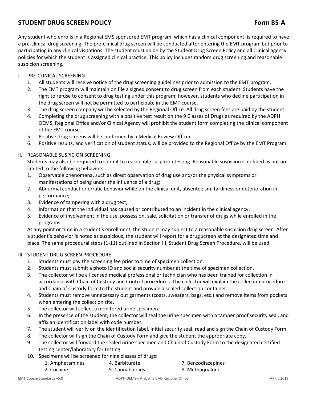# **STUDENT DRUG SCREEN POLICY Form B5-A Form B5-A**

Any student who enrolls in a Regional EMS sponsored EMT program, which has a clinical component, is required to have a pre-clinical drug screening. The pre-clinical drug screen will be conducted after entering the EMT program but prior to participating in any clinical visitations. The student must abide by the Student Drug Screen Policy and all Clinical agency policies for which the student is assigned clinical practice. This policy includes random drug screening and reasonable suspicion screening.

#### I. PRE-CLINICAL SCREENING

- 1. All students will receive notice of the drug screening guidelines prior to admission to the EMT program.
- 2. The EMT program will maintain on file a signed consent to drug screen from each student. Students have the right to refuse to consent to drug testing under this program; however, students who decline participation in the drug screen will not be permitted to participate in the EMT course.
- 3. The drug screen company will be selected by the Regional Office. All drug screen fees are paid by the student.
- 4. Completing the drug screening with a positive test result on the 9 Classes of Drugs as required by the ADPH OEMS, Regional Office and/or Clinical Agency will prohibit the student form completing the clinical component of the EMT course.
- 5. Positive drug screens will be confirmed by a Medical Review Officer.
- 6. Positive results, and verification of student status, will be provided to the Regional Office by the EMT Program.

#### II. REASONABLE SUSPICION SCREENING

Students may also be required to submit to reasonable suspicion testing. Reasonable suspicion is defined as but not limited to the following behaviors:

- 1. Observable phenomena, such as direct observation of drug use and/or the physical symptoms or manifestations of being under the influence of a drug;
- 2. Abnormal conduct or erratic behavior while on the clinical unit, absenteeism, tardiness or deterioration in performance;
- 3. Evidence of tampering with a drug test;
- 4. Information that the individual has caused or contributed to an incident in the clinical agency;
- 5. Evidence of involvement in the use, possession, sale, solicitation or transfer of drugs while enrolled in the programs.

At any point or time in a student's enrollment, the student may subject to a reasonable suspicion drug screen. After a student's behavior is noted as suspicious, the student will report for a drug screen at the designated time and place. The same procedural steps (1-11) outlined in Section III, Student Drug Screen Procedure, will be used.

#### III. STUDENT DRUG SCREEN PROCEDURE

- 1. Students must pay the screening fee prior to time of specimen collection.
- 2. Students must submit a photo ID and social security number at the time of specimen collection.
- 3. The collector will be a licensed medical professional or technician who has been trained for collection in accordance with Chain of Custody and Control procedures. The collector will explain the collection procedure and Chain of Custody form to the student and provide a sealed collection container.
- 4. Students must remove unnecessary out garments (coats, sweaters, bags, etc.) and remove items from pockets when entering the collection site.
- 5. The collector will collect a monitored urine specimen.
- 6. In the presence of the student, the collector will seal the urine specimen with a tamper proof security seal, and affix an identification label with code number.
- 7. The student will verify on the identification label, initial security seal, read and sign the Chain of Custody Form.
- 8. The collector will sign the Chain of Custody Form and give the student the appropriate copy.
- 9. The collector will forward the sealed urine specimen and Chain of Custody Form to the designated certified testing center/laboratory for testing.
- 10. Specimens will be screened for nine classes of drugs:
	- 1. Amphetamines 4. Barbiturate 7. Benzodiazepines
		- 2. Cocaine 5. Cannabinoids 8. Methaqualone
- -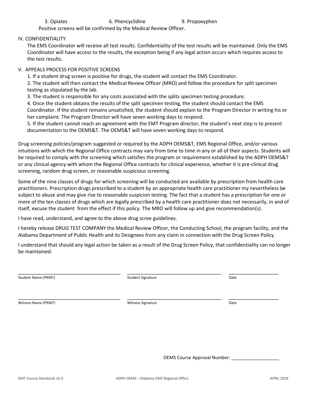#### IV. CONFIDENTIALITY

The EMS Coordinator will receive all test results. Confidentiality of the test results will be maintained. Only the EMS Coordinator will have access to the results, the exception being if any legal action occurs which requires access to the test results.

#### V. APPEALS PROCESS FOR POSITIVE SCREENS

1. If a student drug screen is positive for drugs, the student will contact the EMS Coordinator.

2. The student will then contact the Medical Review Officer (MRO) and follow the procedure for split specimen testing as stipulated by the lab.

3. The student is responsible for any costs associated with the splits specimen testing procedure.

4. Once the student obtains the results of the split specimen testing, the student should contact the EMS Coordinator. If the student remains unsatisfied, the student should explain to the Program Director in writing his or her complaint. The Program Director will have seven working days to respond.

5. If the student cannot reach an agreement with the EMT Program director, the student's next step is to present documentation to the OEMS&T. The OEMS&T will have seven working days to respond.

Drug screening policies/program suggested or required by the ADPH OEMS&T, EMS Regional Office, and/or various intuitions with which the Regional Office contracts may vary from time to time in any or all of their aspects. Students will be required to comply with the screening which satisfies the program or requirement established by the ADPH OEMS&T or any clinical agency with whom the Regional Office contracts for clinical experience, whether it is pre-clinical drug screening, random drug screen, or reasonable suspicious screening.

Some of the nine classes of drugs for which screening will be conducted are available by prescription from health care practitioners. Prescription drugs prescribed to a student by an appropriate health care practitioner my nevertheless be subject to abuse and may give rise to reasonable suspicion testing. The fact that a student has a prescription for one or more of the ten classes of drugs which are legally prescribed by a health care practitioner does not necessarily, in and of itself, excuse the student from the effect if this policy. The MRO will follow up and give recommendation(s).

I have read, understand, and agree to the above drug scree guidelines.

I hereby release DRUG TEST COMPANY the Medical Review Officer, the Conducting School, the program facility, and the Alabama Department of Public Health and its Designees from any claim in connection with the Drug Screen Policy.

I understand that should any legal action be taken as a result of the Drug Screen Policy, that confidentiality can no longer be maintained.

\_\_\_\_\_\_\_\_\_\_\_\_\_\_\_\_\_\_\_\_\_\_\_\_\_\_\_\_\_\_\_\_\_\_\_\_\_ \_\_\_\_\_\_\_\_\_\_\_\_\_\_\_\_\_\_\_\_\_\_\_\_\_\_\_\_\_\_\_\_\_\_ \_\_\_\_\_\_\_\_\_\_\_\_\_\_\_\_\_\_ Student Name (PRINT) Student Signature Student Signature Communications of the Date

Witness Name (PRINT) and the control of the Microsoft Control of Microsoft Control of the Date of Date Date Date

\_\_\_\_\_\_\_\_\_\_\_\_\_\_\_\_\_\_\_\_\_\_\_\_\_\_\_\_\_\_\_\_\_\_\_\_\_ \_\_\_\_\_\_\_\_\_\_\_\_\_\_\_\_\_\_\_\_\_\_\_\_\_\_\_\_\_\_\_\_\_\_ \_\_\_\_\_\_\_\_\_\_\_\_\_\_\_\_\_\_

OEMS Course Approval Number: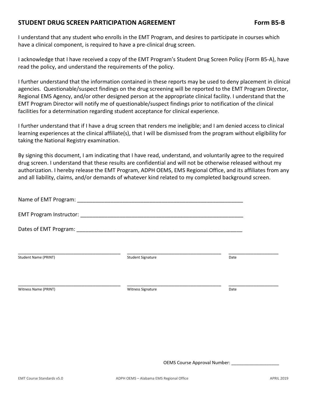# **STUDENT DRUG SCREEN PARTICIPATION AGREEMENT Form B5-B**

I understand that any student who enrolls in the EMT Program, and desires to participate in courses which have a clinical component, is required to have a pre-clinical drug screen.

I acknowledge that I have received a copy of the EMT Program's Student Drug Screen Policy (Form B5-A), have read the policy, and understand the requirements of the policy.

I further understand that the information contained in these reports may be used to deny placement in clinical agencies. Questionable/suspect findings on the drug screening will be reported to the EMT Program Director, Regional EMS Agency, and/or other designed person at the appropriate clinical facility. I understand that the EMT Program Director will notify me of questionable/suspect findings prior to notification of the clinical facilities for a determination regarding student acceptance for clinical experience.

I further understand that if I have a drug screen that renders me ineligible; and I am denied access to clinical learning experiences at the clinical affiliate(s), that I will be dismissed from the program without eligibility for taking the National Registry examination.

By signing this document, I am indicating that I have read, understand, and voluntarily agree to the required drug screen. I understand that these results are confidential and will not be otherwise released without my authorization. I hereby release the EMT Program, ADPH OEMS, EMS Regional Office, and its affiliates from any and all liability, claims, and/or demands of whatever kind related to my completed background screen.

| Name of EMT Program:        | <u> 2001 - 2002 - 2003 - 2004 - 2005 - 2006 - 2007 - 2008 - 2009 - 2009 - 2009 - 2009 - 2009 - 2009 - 2009 - 200</u> |      |  |
|-----------------------------|----------------------------------------------------------------------------------------------------------------------|------|--|
|                             |                                                                                                                      |      |  |
|                             |                                                                                                                      |      |  |
| <b>Student Name (PRINT)</b> | <b>Student Signature</b>                                                                                             | Date |  |
|                             |                                                                                                                      |      |  |
| Witness Name (PRINT)        | <b>Witness Signature</b>                                                                                             | Date |  |

OEMS Course Approval Number: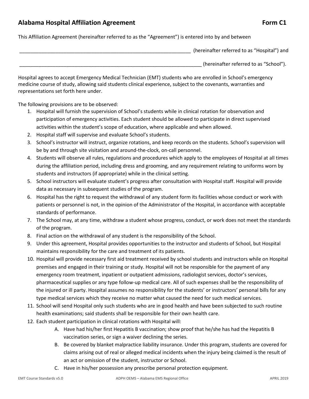# Alabama Hospital Affiliation Agreement **Form C1 Form C1**

This Affiliation Agreement (hereinafter referred to as the "Agreement") is entered into by and between

(hereinafter referred to as "Hospital") and \_\_\_\_\_\_\_\_\_\_\_\_\_\_\_\_\_\_\_\_\_\_\_\_\_\_\_\_\_\_\_\_\_\_\_\_\_\_\_\_\_\_\_\_\_\_\_\_\_\_\_\_\_\_\_\_\_\_\_\_\_\_\_\_\_\_ (hereinafter referred to as "School").

Hospital agrees to accept Emergency Medical Technician (EMT) students who are enrolled in School's emergency medicine course of study, allowing said students clinical experience, subject to the covenants, warranties and representations set forth here under.

The following provisions are to be observed:

- 1. Hospital will furnish the supervision of School's students while in clinical rotation for observation and participation of emergency activities. Each student should be allowed to participate in direct supervised activities within the student's scope of education, where applicable and when allowed.
- 2. Hospital staff will supervise and evaluate School's students.
- 3. School's instructor will instruct, organize rotations, and keep records on the students. School's supervision will be by and through site visitation and around-the-clock, on-call personnel.
- 4. Students will observe all rules, regulations and procedures which apply to the employees of Hospital at all times during the affiliation period, including dress and grooming, and any requirement relating to uniforms worn by students and instructors (if appropriate) while in the clinical setting.
- 5. School instructors will evaluate student's progress after consultation with Hospital staff. Hospital will provide data as necessary in subsequent studies of the program.
- 6. Hospital has the right to request the withdrawal of any student form its facilities whose conduct or work with patients or personnel is not, in the opinion of the Administrator of the Hospital, in accordance with acceptable standards of performance.
- 7. The School may, at any time, withdraw a student whose progress, conduct, or work does not meet the standards of the program.
- 8. Final action on the withdrawal of any student is the responsibility of the School.
- 9. Under this agreement, Hospital provides opportunities to the instructor and students of School, but Hospital maintains responsibility for the care and treatment of its patients.
- 10. Hospital will provide necessary first aid treatment received by school students and instructors while on Hospital premises and engaged in their training or study. Hospital will not be responsible for the payment of any emergency room treatment, inpatient or outpatient admissions, radiologist services, doctor's services, pharmaceutical supplies or any type follow-up medical care. All of such expenses shall be the responsibility of the injured or ill party. Hospital assumes no responsibility for the students' or instructors' personal bills for any type medical services which they receive no matter what caused the need for such medical services.
- 11. School will send Hospital only such students who are in good health and have been subjected to such routine health examinations; said students shall be responsible for their own health care.
- 12. Each student participation in clinical rotations with Hospital will:
	- A. Have had his/her first Hepatitis B vaccination; show proof that he/she has had the Hepatitis B vaccination series, or sign a waiver declining the series.
	- B. Be covered by blanket malpractice liability insurance. Under this program, students are covered for claims arising out of real or alleged medical incidents when the injury being claimed is the result of an act or omission of the student, instructor or School.
	- C. Have in his/her possession any prescribe personal protection equipment.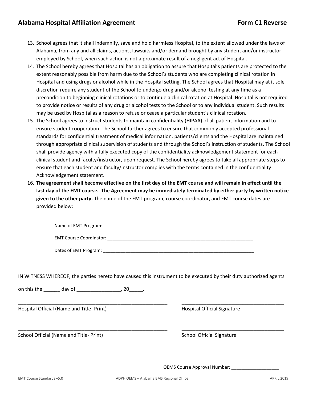- 13. School agrees that it shall indemnify, save and hold harmless Hospital, to the extent allowed under the laws of Alabama, from any and all claims, actions, lawsuits and/or demand brought by any student and/or instructor employed by School, when such action is not a proximate result of a negligent act of Hospital.
- 14. The School hereby agrees that Hospital has an obligation to assure that Hospital's patients are protected to the extent reasonably possible from harm due to the School's students who are completing clinical rotation in Hospital and using drugs or alcohol while in the Hospital setting. The School agrees that Hospital may at it sole discretion require any student of the School to undergo drug and/or alcohol testing at any time as a precondition to beginning clinical rotations or to continue a clinical rotation at Hospital. Hospital is not required to provide notice or results of any drug or alcohol tests to the School or to any individual student. Such results may be used by Hospital as a reason to refuse or cease a particular student's clinical rotation.
- 15. The School agrees to instruct students to maintain confidentiality (HIPAA) of all patient information and to ensure student cooperation. The School further agrees to ensure that commonly accepted professional standards for confidential treatment of medical information, patients/clients and the Hospital are maintained through appropriate clinical supervision of students and through the School's instruction of students. The School shall provide agency with a fully executed copy of the confidentiality acknowledgement statement for each clinical student and faculty/instructor, upon request. The School hereby agrees to take all appropriate steps to ensure that each student and faculty/instructor complies with the terms contained in the confidentiality Acknowledgement statement.
- 16. **The agreement shall become effective on the first day of the EMT course and will remain in effect until the last day of the EMT course. The Agreement may be immediately terminated by either party by written notice given to the other party.** The name of the EMT program, course coordinator, and EMT course dates are provided below:

| Name of EMT Program:           |  |
|--------------------------------|--|
| <b>EMT Course Coordinator:</b> |  |

Dates of EMT Program: \_\_\_\_\_\_\_\_\_\_\_\_\_\_\_\_\_\_\_\_\_\_\_\_\_\_\_\_\_\_\_\_\_\_\_\_\_\_\_\_\_\_\_\_\_\_\_\_\_\_\_\_\_\_\_\_\_\_\_\_

IN WITNESS WHEREOF, the parties hereto have caused this instrument to be executed by their duty authorized agents

\_\_\_\_\_\_\_\_\_\_\_\_\_\_\_\_\_\_\_\_\_\_\_\_\_\_\_\_\_\_\_\_\_\_\_\_\_\_\_\_\_\_\_\_\_\_\_\_\_\_\_\_\_\_ \_\_\_\_\_\_\_\_\_\_\_\_\_\_\_\_\_\_\_\_\_\_\_\_\_\_\_\_\_\_\_\_\_\_\_\_\_

on this the day of the day of the set of  $\sim$  20 and the set of  $\sim$ 

Hospital Official (Name and Title- Print) Hospital Official Signature

School Official (Name and Title- Print) School Official Signature

\_\_\_\_\_\_\_\_\_\_\_\_\_\_\_\_\_\_\_\_\_\_\_\_\_\_\_\_\_\_\_\_\_\_\_\_\_\_\_\_\_\_\_\_\_\_\_\_\_\_\_\_\_\_ \_\_\_\_\_\_\_\_\_\_\_\_\_\_\_\_\_\_\_\_\_\_\_\_\_\_\_\_\_\_\_\_\_\_\_\_\_

OEMS Course Approval Number: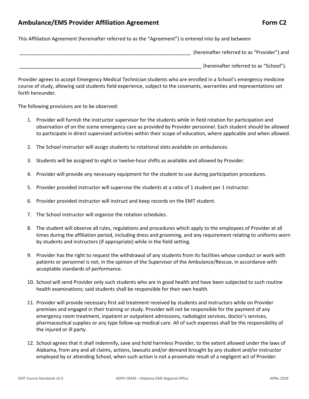# Ambulance/EMS Provider Affiliation Agreement **Form C2** Form C2

This Affiliation Agreement (hereinafter referred to as the "Agreement") is entered into by and between

| (hereinafter referred to as "Provider") and |
|---------------------------------------------|
| (hereinafter referred to as "School").      |

Provider agrees to accept Emergency Medical Technician students who are enrolled in a School's emergency medicine course of study, allowing said students field experience, subject to the covenants, warranties and representations set forth hereunder.

The following provisions are to be observed:

- 1. Provider will furnish the instructor supervisor for the students while in field rotation for participation and observation of on the scene emergency care as provided by Provider personnel. Each student should be allowed to participate in direct supervised activities within their scope of education, where applicable and when allowed.
- 2. The School instructor will assign students to rotational slots available on ambulances.
- 3. Students will be assigned to eight or twelve-hour shifts as available and allowed by Provider.
- 4. Provider will provide any necessary equipment for the student to use during participation procedures.
- 5. Provider provided instructor will supervise the students at a ratio of 1 student per 1 instructor.
- 6. Provider provided instructor will instruct and keep records on the EMT student.
- 7. The School instructor will organize the rotation schedules.
- 8. The student will observe all rules, regulations and procedures which apply to the employees of Provider at all times during the affiliation period, including dress and grooming, and any requirement relating to uniforms worn by students and instructors (if appropriate) while in the field setting.
- 9. Provider has the right to request the withdrawal of any students from its facilities whose conduct or work with patients or personnel is not, in the opinion of the Supervisor of the Ambulance/Rescue, in accordance with acceptable standards of performance.
- 10. School will send Provider only such students who are in good health and have been subjected to such routine health examinations; said students shall be responsible for their own health.
- 11. Provider will provide necessary first aid treatment received by students and instructors while on Provider premises and engaged in their training or study. Provider will not be responsible for the payment of any emergency room treatment, inpatient or outpatient admissions, radiologist services, doctor's services, pharmaceutical supplies or any type follow-up medical care. All of such expenses shall be the responsibility of the injured or ill party.
- 12. School agrees that it shall indemnify, save and hold harmless Provider, to the extent allowed under the laws of Alabama, from any and all claims, actions, lawsuits and/or demand brought by any student and/or instructor employed by or attending School, when such action is not a proximate result of a negligent act of Provider.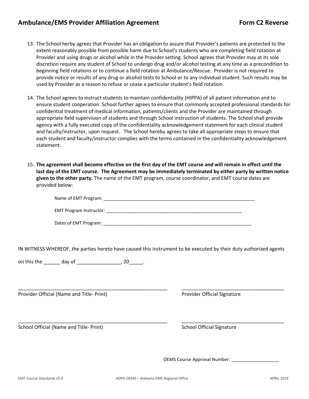# Ambulance/EMS Provider Affiliation Agreement Form C2 Reverse

- 13. The School herby agrees that Provider has an obligation to assure that Provider's patients are protected to the extent reasonably possible from possible harm due to School's students who are completing field rotation at Provider and using drugs or alcohol while in the Provider setting. School agrees that Provider may at its sole discretion require any student of School to undergo drug and/or alcohol testing at any time as a precondition to beginning field rotations or to continue a field rotation at Ambulance/Rescue. Provider is not required to provide notice or results of any drug or alcohol tests to School or to any individual student. Such results may be used by Provider as a reason to refuse or cease a particular student's field rotation.
- 14. The School agrees to instruct students to maintain confidentiality (HIPPA) of all patient information and to ensure student cooperation. School further agrees to ensure that commonly accepted professional standards for confidential treatment of medical information, patients/clients and the Provider are maintained through appropriate field supervision of students and through School instruction of students. The School shall provide agency with a fully executed copy of the confidentiality acknowledgement statement for each clinical student and faculty/instructor, upon request. The School hereby agrees to take all appropriate steps to ensure that each student and faculty/instructor complies with the terms contained in the confidentiality acknowledgement statement.
- 15. **The agreement shall become effective on the first day of the EMT course and will remain in effect until the last day of the EMT course. The Agreement may be immediately terminated by either party by written notice given to the other party.** The name of the EMT program, course coordinator, and EMT course dates are provided below:

| Name of EMT Program: |  |
|----------------------|--|
|                      |  |

EMT Program Instructor: \_\_\_\_\_\_\_\_\_\_\_\_\_\_\_\_\_\_\_\_\_\_\_\_\_\_\_\_\_\_\_\_\_\_\_\_\_\_\_\_\_\_\_\_\_\_\_\_\_\_\_\_\_\_

| Dates of EMT Program: |
|-----------------------|
|-----------------------|

IN WITNESS WHEREOF, the parties hereto have caused this instrument to be executed by their duty authorized agents

\_\_\_\_\_\_\_\_\_\_\_\_\_\_\_\_\_\_\_\_\_\_\_\_\_\_\_\_\_\_\_\_\_\_\_\_\_\_\_\_\_\_\_\_\_\_\_\_\_\_\_\_\_\_ \_\_\_\_\_\_\_\_\_\_\_\_\_\_\_\_\_\_\_\_\_\_\_\_\_\_\_\_\_\_\_\_\_\_\_\_\_

\_\_\_\_\_\_\_\_\_\_\_\_\_\_\_\_\_\_\_\_\_\_\_\_\_\_\_\_\_\_\_\_\_\_\_\_\_\_\_\_\_\_\_\_\_\_\_\_\_\_\_\_\_\_ \_\_\_\_\_\_\_\_\_\_\_\_\_\_\_\_\_\_\_\_\_\_\_\_\_\_\_\_\_\_\_\_\_\_\_\_\_

on this the \_\_\_\_\_\_\_ day of \_\_\_\_\_\_\_\_\_\_\_\_\_\_\_\_\_\_\_, 20\_\_\_\_\_\_.

Provider Official (Name and Title- Print) Provider Official Signature

School Official (Name and Title- Print) School Official Signature

OEMS Course Approval Number: \_\_\_\_\_\_\_\_\_\_\_\_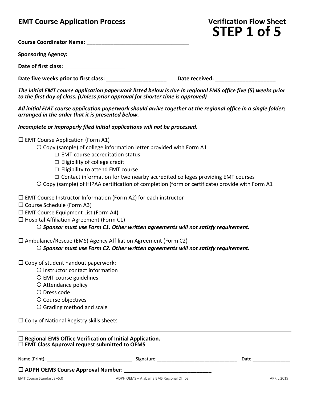# **STEP 1 of 5**

| <b>Course Coordinator Name:</b> |  |
|---------------------------------|--|
|                                 |  |

| <b>Sponsoring Agency:</b> |  |
|---------------------------|--|
|                           |  |

Date of first class: **Date of first class:** 

Date five weeks prior to first class: **we consider the constant of the Date received:**  $\blacksquare$ 

*The initial EMT course application paperwork listed below is due in regional EMS office five (5) weeks prior to the first day of class. (Unless prior approval for shorter time is approved)*

*All initial EMT course application paperwork should arrive together at the regional office in a single folder; arranged in the order that it is presented below.*

*Incomplete or improperly filed initial applications will not be processed.*

 $\square$  EMT Course Application (Form A1)

Copy (sample) of college information letter provided with Form A1

- $\Box$  EMT course accreditation status
- $\Box$  Eligibility of college credit
- $\Box$  Eligibility to attend EMT course
- $\Box$  Contact information for two nearby accredited colleges providing EMT courses
- Copy (sample) of HIPAA certification of completion (form or certificate) provide with Form A1
- $\Box$  EMT Course Instructor Information (Form A2) for each instructor
- $\square$  Course Schedule (Form A3)
- $\Box$  EMT Course Equipment List (Form A4)
- $\Box$  Hospital Affiliation Agreement (Form C1)

### *Sponsor must use Form C1. Other written agreements will not satisfy requirement.*

 $\Box$  Ambulance/Rescue (EMS) Agency Affiliation Agreement (Form C2)

*Sponsor must use Form C2. Other written agreements will not satisfy requirement.*

- $\square$  Copy of student handout paperwork:
	- O Instructor contact information
	- EMT course guidelines
	- O Attendance policy
	- Dress code
	- O Course objectives
	- Grading method and scale
- $\Box$  Copy of National Registry skills sheets

#### **Regional EMS Office Verification of Initial Application. EMT Class Approval request submitted to OEMS**

| Name (Print):                            | Signature:                              | Date:      |
|------------------------------------------|-----------------------------------------|------------|
| $\Box$ ADPH OEMS Course Approval Number: |                                         |            |
| <b>EMT Course Standards v5.0</b>         | ADPH OEMS - Alabama EMS Regional Office | APRIL 2019 |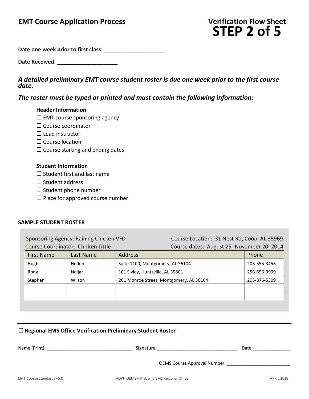**Date one week prior to first class:** \_\_\_\_\_\_\_\_\_\_\_\_\_\_\_\_\_\_\_\_

Date Received:

# *A detailed preliminary EMT course student roster is due one week prior to the first course date.*

# *The roster must be typed or printed and must contain the following information:*

#### **Header Information**

- $\square$  EMT course sponsoring agency
- $\square$  Course coordinator
- $\square$  Lead instructor
- $\square$  Course location
- $\square$  Course starting and ending dates

### **Student Information**

- $\square$  Student first and last name
- $\square$  Student address
- $\square$  Student phone number
- $\square$  Place for approved course number

#### **SAMPLE STUDENT ROSTER**

Sponsoring Agency: Raining Chicken VFD Course Location: 31 Nest Rd, Coop, AL 35969 Course Coordinator: Chicken Little Course dates: August 25- November 20, 2014

| <b>First Name</b> | Last Name | <b>Address</b>                          | Phone        |
|-------------------|-----------|-----------------------------------------|--------------|
| Hugh              | Hollon    | Suite 1100, Montgomery, AL 36104        | 205-555-3456 |
| Rony              | Najjar    | 101 Sivley, Huntsville, AL 35801        | 256-656-9999 |
| Stephen           | Wilson    | 201 Monroe Street, Montgomery, AL 36104 | 205-876-5309 |
|                   |           |                                         |              |
|                   |           |                                         |              |

# **Regional EMS Office Verification Preliminary Student Roster**

| Name (Print): | Signature:                   | Date: |
|---------------|------------------------------|-------|
|               | OEMS Course Approval Number: |       |
|               |                              |       |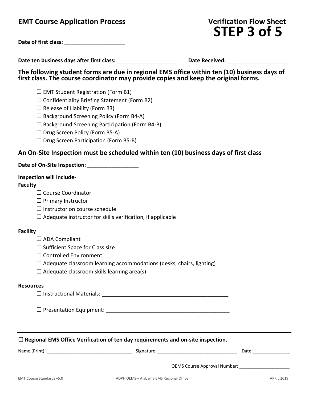# **STEP 3 of 5**

| Date of first class: |  |
|----------------------|--|
|----------------------|--|

**Date ten business days after first class:** \_\_\_\_\_\_\_\_\_\_\_\_\_\_\_\_\_\_\_\_ **Date Received:** \_\_\_\_\_\_\_\_\_\_\_\_\_\_\_\_\_\_\_\_

**The following student forms are due in regional EMS office within ten (10) business days of first class. The course coordinator may provide copies and keep the original forms.**

 $\square$  EMT Student Registration (Form B1)

 $\square$  Confidentiality Briefing Statement (Form B2)

 $\square$  Release of Liability (Form B3)

 $\square$  Background Screening Policy (Form B4-A)

 $\square$  Background Screening Participation (Form B4-B)

 $\square$  Drug Screen Policy (Form B5-A)

 $\square$  Drug Screen Participation (Form B5-B)

# **An On-Site Inspection must be scheduled within ten (10) business days of first class**

# Date of On-Site Inspection:

### **Inspection will include-**

### **Faculty**

□ Course Coordinator

 $\Box$  Primary Instructor

- $\Box$  Instructor on course schedule
- $\square$  Adequate instructor for skills verification, if applicable

### **Facility**

 $\square$  ADA Compliant

 $\square$  Sufficient Space for Class size

- □ Controlled Environment
- $\Box$  Adequate classroom learning accommodations (desks, chairs, lighting)
- $\square$  Adequate classroom skills learning area(s)

#### **Resources**

Instructional Materials: \_\_\_\_\_\_\_\_\_\_\_\_\_\_\_\_\_\_\_\_\_\_\_\_\_\_\_\_\_\_\_\_\_\_\_\_\_\_\_\_\_\_

Presentation Equipment: \_\_\_\_\_\_\_\_\_\_\_\_\_\_\_\_\_\_\_\_\_\_\_\_\_\_\_\_\_\_\_\_\_\_\_\_\_\_\_\_\_

**Regional EMS Office Verification of ten day requirements and on-site inspection.**

Name (Print): \_\_\_\_\_\_\_\_\_\_\_\_\_\_\_\_\_\_\_\_\_\_\_\_\_\_\_\_\_\_\_\_\_\_ Signature:\_\_\_\_\_\_\_\_\_\_\_\_\_\_\_\_\_\_\_\_\_\_\_\_\_\_\_\_\_\_\_\_ Date:\_\_\_\_\_\_\_\_\_\_\_\_\_\_\_

OEMS Course Approval Number: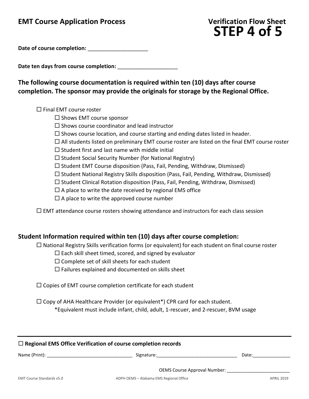# **STEP 4 of 5**

Date of course completion:

Date ten days from course completion:

**The following course documentation is required within ten (10) days after course completion. The sponsor may provide the originals for storage by the Regional Office.**

 $\square$  Final EMT course roster

- $\square$  Shows EMT course sponsor
- $\square$  Shows course coordinator and lead instructor
- $\Box$  Shows course location, and course starting and ending dates listed in header.
- $\Box$  All students listed on preliminary EMT course roster are listed on the final EMT course roster
- $\square$  Student first and last name with middle initial
- $\square$  Student Social Security Number (for National Registry)
- $\square$  Student EMT Course disposition (Pass, Fail, Pending, Withdraw, Dismissed)
- $\Box$  Student National Registry Skills disposition (Pass, Fail, Pending, Withdraw, Dismissed)
- $\square$  Student Clinical Rotation disposition (Pass, Fail, Pending, Withdraw, Dismissed)
- $\Box$  A place to write the date received by regional EMS office
- $\square$  A place to write the approved course number

 $\Box$  EMT attendance course rosters showing attendance and instructors for each class session

# **Student Information required within ten (10) days after course completion:**

 $\Box$  National Registry Skills verification forms (or equivalent) for each student on final course roster

 $\Box$  Each skill sheet timed, scored, and signed by evaluator

- $\square$  Complete set of skill sheets for each student
- $\Box$  Failures explained and documented on skills sheet

 $\square$  Copies of EMT course completion certificate for each student

 $\Box$  Copy of AHA Healthcare Provider (or equivalent\*) CPR card for each student.

\*Equivalent must include infant, child, adult, 1-rescuer, and 2-rescuer, BVM usage

## **Regional EMS Office Verification of course completion records**

| Name (Print): | Signature:                          | Date <sup>®</sup> |
|---------------|-------------------------------------|-------------------|
|               |                                     |                   |
|               | <b>OEMS Course Approval Number:</b> |                   |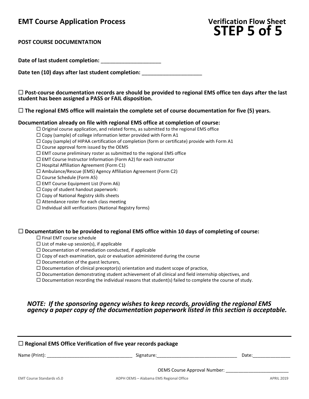

**POST COURSE DOCUMENTATION**

Date of last student completion:

Date ten (10) days after last student completion:

 **Post-course documentation records are should be provided to regional EMS office ten days after the last student has been assigned a PASS or FAIL disposition.**

**The regional EMS office will maintain the complete set of course documentation for five (5) years.**

#### **Documentation already on file with regional EMS office at completion of course:**

 $\Box$  Original course application, and related forms, as submitted to the regional EMS office

 $\square$  Copy (sample) of college information letter provided with Form A1

- $\square$  Copy (sample) of HIPAA certification of completion (form or certificate) provide with Form A1
- $\square$  Course approval form issued by the OEMS

 $\Box$  EMT course preliminary roster as submitted to the regional EMS office

 $\Box$  EMT Course Instructor Information (Form A2) for each instructor

 $\Box$  Hospital Affiliation Agreement (Form C1)

 $\square$  Ambulance/Rescue (EMS) Agency Affiliation Agreement (Form C2)

Course Schedule (Form A5)

 $\Box$  EMT Course Equipment List (Form A6)

 $\square$  Copy of student handout paperwork:

 $\Box$  Copy of National Registry skills sheets

 $\square$  Attendance roster for each class meeting

 $\Box$  Individual skill verifications (National Registry forms)

#### **Documentation to be provided to regional EMS office within 10 days of completing of course:**

 $\square$  Final EMT course schedule

 $\square$  List of make-up session(s), if applicable

 $\square$  Documentation of remediation conducted, if applicable

 $\Box$  Copy of each examination, quiz or evaluation administered during the course

 $\square$  Documentation of the guest lecturers,

 $\square$  Documentation of clinical preceptor(s) orientation and student scope of practice,

 $\Box$  Documentation demonstrating student achievement of all clinical and field internship objectives, and

 $\Box$  Documentation recording the individual reasons that student(s) failed to complete the course of study.

# *NOTE: If the sponsoring agency wishes to keep records, providing the regional EMS agency a paper copy of the documentation paperwork listed in this section is acceptable.*

| $\Box$ Regional EMS Office Verification of five year records package |                                                                                                                |                   |  |
|----------------------------------------------------------------------|----------------------------------------------------------------------------------------------------------------|-------------------|--|
|                                                                      | Signature: the contract of the contract of the contract of the contract of the contract of the contract of the | Date:             |  |
|                                                                      | <b>OEMS Course Approval Number:</b>                                                                            |                   |  |
| EMT Course Standards v5.0                                            | ADPH OEMS - Alabama EMS Regional Office                                                                        | <b>APRIL 2019</b> |  |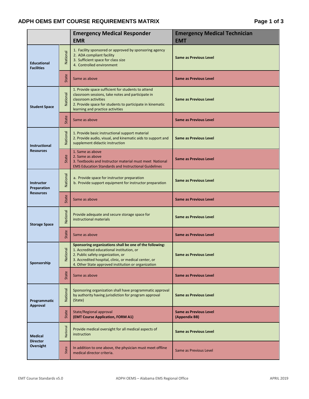# ADPH OEMS EMT COURSE REQUIREMENTS MATRIX **Fig. 2** Page 1 of 3

|                                                |               | <b>Emergency Medical Responder</b><br><b>EMR</b>                                                                                                                                                                                                          | <b>Emergency Medical Technician</b><br><b>EMT</b> |
|------------------------------------------------|---------------|-----------------------------------------------------------------------------------------------------------------------------------------------------------------------------------------------------------------------------------------------------------|---------------------------------------------------|
| <b>Educational</b><br><b>Facilities</b>        | National      | 1. Facility sponsored or approved by sponsoring agency<br>2. ADA compliant facility<br>3. Sufficient space for class size<br>4. Controlled environment                                                                                                    | <b>Same as Previous Level</b>                     |
|                                                | State         | Same as above                                                                                                                                                                                                                                             | <b>Same as Previous Level</b>                     |
| <b>Student Space</b>                           | National      | 1. Provide space sufficient for students to attend<br>classroom sessions, take notes and participate in<br>classroom activities<br>2. Provide space for students to participate in kinematic<br>learning and practice activities                          | <b>Same as Previous Level</b>                     |
|                                                | State         | Same as above                                                                                                                                                                                                                                             | <b>Same as Previous Level</b>                     |
| Instructional<br><b>Resources</b>              | National      | 1. Provide basic instructional support material<br>2. Provide audio, visual, and kinematic aids to support and<br>supplement didactic instruction                                                                                                         | <b>Same as Previous Level</b>                     |
|                                                | State         | 1. Same as above<br>2. Same as above<br>3. Textbooks and Instructor material must meet National<br><b>EMS Education Standards and Instructional Guidelines</b>                                                                                            | <b>Same as Previous Level</b>                     |
| Instructor<br>Preparation<br><b>Resources</b>  | National      | a. Provide space for instructor preparation<br>b. Provide support equipment for instructor preparation                                                                                                                                                    | <b>Same as Previous Level</b>                     |
|                                                | State         | Same as above                                                                                                                                                                                                                                             | <b>Same as Previous Level</b>                     |
| <b>Storage Space</b>                           | National      | Provide adequate and secure storage space for<br>instructional materials                                                                                                                                                                                  | <b>Same as Previous Level</b>                     |
|                                                | State         | Same as above                                                                                                                                                                                                                                             | <b>Same as Previous Level</b>                     |
| Sponsorship                                    | ional<br>Nati | Sponsoring organizations shall be one of the following:<br>1. Accredited educational institution, or<br>2. Public safety organization, or<br>3. Accredited hospital, clinic, or medical center, or<br>4. Other State approved institution or organization | <b>Same as Previous Level</b>                     |
|                                                | State         | Same as above                                                                                                                                                                                                                                             | <b>Same as Previous Level</b>                     |
| Programmatic<br>Approval                       | National      | Sponsoring organization shall have programmatic approval<br>by authority having jurisdiction for program approval<br>(State)                                                                                                                              | <b>Same as Previous Level</b>                     |
|                                                | State         | State/Regional approval<br>(EMT Course Application, FORM A1)                                                                                                                                                                                              | <b>Same as Previous Level</b><br>(Appendix BB)    |
| <b>Medical</b><br><b>Director</b><br>Oversight | National      | Provide medical oversight for all medical aspects of<br>instruction                                                                                                                                                                                       | <b>Same as Previous Level</b>                     |
|                                                | State         | In addition to one above, the physician must meet offline<br>medical director criteria.                                                                                                                                                                   | Same as Previous Level                            |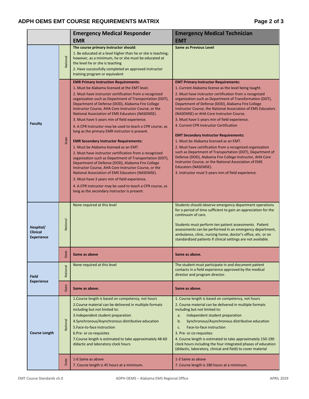# ADPH OEMS EMT COURSE REQUIREMENTS MATRIX **Fig. 2** and  $P$  and  $P$  and  $P$  and  $P$  and  $P$  and  $P$  and  $P$  and  $P$  and  $P$  and  $P$  and  $P$  and  $P$  and  $P$  and  $P$  and  $P$  and  $P$  and  $P$  and  $P$  and  $P$  and  $P$  and  $P$  and

|                                            |          | <b>Emergency Medical Responder</b>                                                                                                                                                                                                                                                                                                                                                                                                                                                                                                                                                                                                                                                                                                                                                                                                                                                                                                                                                                                                                                                                       | <b>Emergency Medical Technician</b>                                                                                                                                                                                                                                                                                                                                                                                                                                                                                                                                                                                                                                                                                                                                                                                                                                                                               |
|--------------------------------------------|----------|----------------------------------------------------------------------------------------------------------------------------------------------------------------------------------------------------------------------------------------------------------------------------------------------------------------------------------------------------------------------------------------------------------------------------------------------------------------------------------------------------------------------------------------------------------------------------------------------------------------------------------------------------------------------------------------------------------------------------------------------------------------------------------------------------------------------------------------------------------------------------------------------------------------------------------------------------------------------------------------------------------------------------------------------------------------------------------------------------------|-------------------------------------------------------------------------------------------------------------------------------------------------------------------------------------------------------------------------------------------------------------------------------------------------------------------------------------------------------------------------------------------------------------------------------------------------------------------------------------------------------------------------------------------------------------------------------------------------------------------------------------------------------------------------------------------------------------------------------------------------------------------------------------------------------------------------------------------------------------------------------------------------------------------|
|                                            |          | <b>EMR</b>                                                                                                                                                                                                                                                                                                                                                                                                                                                                                                                                                                                                                                                                                                                                                                                                                                                                                                                                                                                                                                                                                               | <b>EMT</b>                                                                                                                                                                                                                                                                                                                                                                                                                                                                                                                                                                                                                                                                                                                                                                                                                                                                                                        |
|                                            | National | The course primary instructor should:<br>1. Be educated at a level higher than he or she is teaching;<br>however, as a minimum, he or she must be educated at<br>the level he or she is teaching<br>2. Have successfully completed an approved instructor<br>training program or equivalent                                                                                                                                                                                                                                                                                                                                                                                                                                                                                                                                                                                                                                                                                                                                                                                                              | <b>Same as Previous Level</b>                                                                                                                                                                                                                                                                                                                                                                                                                                                                                                                                                                                                                                                                                                                                                                                                                                                                                     |
|                                            |          |                                                                                                                                                                                                                                                                                                                                                                                                                                                                                                                                                                                                                                                                                                                                                                                                                                                                                                                                                                                                                                                                                                          |                                                                                                                                                                                                                                                                                                                                                                                                                                                                                                                                                                                                                                                                                                                                                                                                                                                                                                                   |
| <b>Faculty</b>                             | State    | <b>EMR Primary Instruction Requirements:</b><br>1. Must be Alabama licensed at the EMT level.<br>2. Must have instructor certification from a recognized<br>organization such as Department of Transportation (DOT),<br>Department of Defense (DOD), Alabama Fire College<br>Instructor Course, AHA Core Instructor Course, or the<br>National Association of EMS Educators (NASEMSE).<br>3. Must have 5 years min of field experience.<br>4. A CPR Instructor may be used to teach a CPR course, as<br>long as the primary EMR instructor is present.<br><b>EMR Secondary Instructor Requirements:</b><br>1. Must be Alabama licensed as an EMT.<br>2. Must have instructor certification from a recognized<br>organization such as Department of Transportation (DOT),<br>Department of Defense (DOD), Alabama Fire College<br>Instructor Course, AHA Core Instructor Course, or the<br>National Association of EMS Educators (NASEMSE).<br>3. Must have 3 years min of field experience.<br>4. A CPR instructor may be used to teach a CPR course, as<br>long as the secondary instructor is present. | <b>EMT Primary Instructor Requirements:</b><br>1. Current Alabama license as the level being taught.<br>2. Must have instructor certification from a recognized<br>organization such as Department of Transformation (DOT),<br>Department of Defense (DOD), Alabama Fire College<br>Instructor Course, the National Association of EMS Educators<br>(NASEMSE) or AHA Core Instructor Course.<br>3. Must have 5 years min of field experience.<br>4. Current CPR Instructor Certification<br><b>EMT Secondary Instructor Requirements:</b><br>1. Must be Alabama licensed as an EMT.<br>2. Must have certification from a recognized organization<br>such as Department of Transportation (DOT), Department of<br>Defense (DOD), Alabama Fire College Instructor, AHA Core<br>Instructor Course, or the National Association of EMS<br>Educators (NASEMSE).<br>3. Instructor must 5 years min of field experience. |
| Hospital/<br>Clinical<br><b>Experience</b> | National | None required at this level                                                                                                                                                                                                                                                                                                                                                                                                                                                                                                                                                                                                                                                                                                                                                                                                                                                                                                                                                                                                                                                                              | Students should observe emergency department operations<br>for a period of time sufficient to gain an appreciation for the<br>continuum of care.<br>Students must perform ten patient assessments. Patient<br>assessments can be performed in an emergency department,<br>ambulance, clinic, nursing home, doctor's office, etc. or on<br>standardized patients if clinical settings are not available.                                                                                                                                                                                                                                                                                                                                                                                                                                                                                                           |
|                                            | State    | Same as above                                                                                                                                                                                                                                                                                                                                                                                                                                                                                                                                                                                                                                                                                                                                                                                                                                                                                                                                                                                                                                                                                            | Same as above                                                                                                                                                                                                                                                                                                                                                                                                                                                                                                                                                                                                                                                                                                                                                                                                                                                                                                     |
| <b>Field</b>                               | National | None required at this level                                                                                                                                                                                                                                                                                                                                                                                                                                                                                                                                                                                                                                                                                                                                                                                                                                                                                                                                                                                                                                                                              | The student must participate in and document patient<br>contacts in a field experience approved by the medical<br>director and program director.                                                                                                                                                                                                                                                                                                                                                                                                                                                                                                                                                                                                                                                                                                                                                                  |
| <b>Experience</b>                          | State    | Same as above.                                                                                                                                                                                                                                                                                                                                                                                                                                                                                                                                                                                                                                                                                                                                                                                                                                                                                                                                                                                                                                                                                           | Same as above.                                                                                                                                                                                                                                                                                                                                                                                                                                                                                                                                                                                                                                                                                                                                                                                                                                                                                                    |
| <b>Course Length</b>                       | National | 1. Course length is based on competency, not hours<br>2. Course material can be delivered in multiple formats<br>including but not limited to:<br>3. Independent student preparation<br>4. Synchronous/Asynchronous distributive education<br>5. Face-to-face instruction<br>6.Pre- or co-requisites<br>7. Course length is estimated to take approximately 48-60<br>didactic and laboratory clock hours                                                                                                                                                                                                                                                                                                                                                                                                                                                                                                                                                                                                                                                                                                 | 1. Course length is based on competency, not hours<br>2. Course material can be delivered in multiple formats<br>including but not limited to:<br>Independent student preparation<br>a.<br>Synchronous/Asynchronous distributive education<br>b.<br>Face-to-face instruction<br>c.<br>3. Pre- or co-requisites<br>4. Course length is estimated to take approximately 150-190<br>clock hours including the four integrated phases of education<br>(didactic, laboratory, clinical and field) to cover material                                                                                                                                                                                                                                                                                                                                                                                                    |
|                                            | State    | 1-6 Same as above<br>7. Course length is 45 hours at a minimum.                                                                                                                                                                                                                                                                                                                                                                                                                                                                                                                                                                                                                                                                                                                                                                                                                                                                                                                                                                                                                                          | 1-3 Same as above<br>7. Course length is 180 hours at a minimum.                                                                                                                                                                                                                                                                                                                                                                                                                                                                                                                                                                                                                                                                                                                                                                                                                                                  |